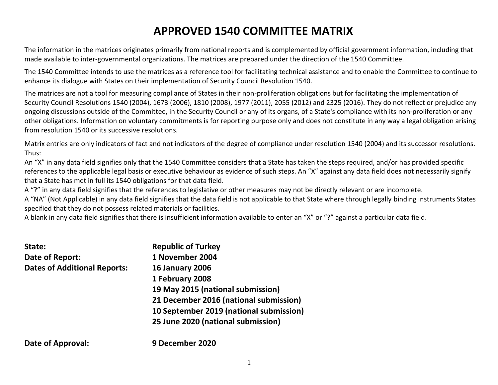# **APPROVED 1540 COMMITTEE MATRIX**

The information in the matrices originates primarily from national reports and is complemented by official government information, including that made available to inter-governmental organizations. The matrices are prepared under the direction of the 1540 Committee.

The 1540 Committee intends to use the matrices as a reference tool for facilitating technical assistance and to enable the Committee to continue to enhance its dialogue with States on their implementation of Security Council Resolution 1540.

The matrices are not a tool for measuring compliance of States in their non-proliferation obligations but for facilitating the implementation of Security Council Resolutions 1540 (2004), 1673 (2006), 1810 (2008), 1977 (2011), 2055 (2012) and 2325 (2016). They do not reflect or prejudice any ongoing discussions outside of the Committee, in the Security Council or any of its organs, of a State's compliance with its non-proliferation or any other obligations. Information on voluntary commitments is for reporting purpose only and does not constitute in any way a legal obligation arising from resolution 1540 or its successive resolutions.

Matrix entries are only indicators of fact and not indicators of the degree of compliance under resolution 1540 (2004) and its successor resolutions. Thus:

An "X" in any data field signifies only that the 1540 Committee considers that a State has taken the steps required, and/or has provided specific references to the applicable legal basis or executive behaviour as evidence of such steps. An "X" against any data field does not necessarily signify that a State has met in full its 1540 obligations for that data field.

A "?" in any data field signifies that the references to legislative or other measures may not be directly relevant or are incomplete.

A "NA" (Not Applicable) in any data field signifies that the data field is not applicable to that State where through legally binding instruments States specified that they do not possess related materials or facilities.

A blank in any data field signifies that there is insufficient information available to enter an "X" or "?" against a particular data field.

| State:                              | <b>Republic of Turkey</b>               |
|-------------------------------------|-----------------------------------------|
| Date of Report:                     | 1 November 2004                         |
| <b>Dates of Additional Reports:</b> | <b>16 January 2006</b>                  |
|                                     | 1 February 2008                         |
|                                     | 19 May 2015 (national submission)       |
|                                     | 21 December 2016 (national submission)  |
|                                     | 10 September 2019 (national submission) |
|                                     | 25 June 2020 (national submission)      |
| <b>Date of Approval:</b>            | 9 December 2020                         |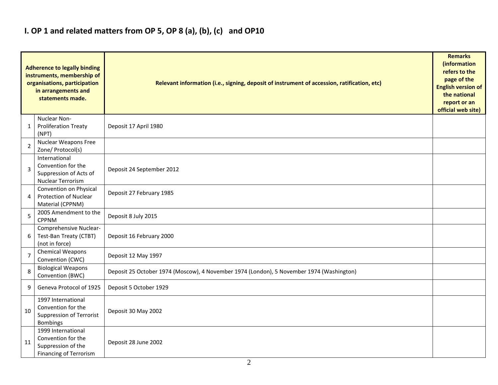### **I. OP 1 and related matters from OP 5, OP 8 (a), (b), (c) and OP10**

|                | <b>Adherence to legally binding</b><br>instruments, membership of<br>organisations, participation<br>in arrangements and<br>statements made. | Relevant information (i.e., signing, deposit of instrument of accession, ratification, etc) |  |  |  |  |  |  |  |
|----------------|----------------------------------------------------------------------------------------------------------------------------------------------|---------------------------------------------------------------------------------------------|--|--|--|--|--|--|--|
| 1              | Nuclear Non-<br><b>Proliferation Treaty</b><br>(NPT)                                                                                         | Deposit 17 April 1980                                                                       |  |  |  |  |  |  |  |
| $\overline{2}$ | <b>Nuclear Weapons Free</b><br>Zone/ Protocol(s)                                                                                             |                                                                                             |  |  |  |  |  |  |  |
| 3              | International<br>Convention for the<br>Suppression of Acts of<br>Nuclear Terrorism                                                           | Deposit 24 September 2012                                                                   |  |  |  |  |  |  |  |
| 4              | Convention on Physical<br>Protection of Nuclear<br>Material (CPPNM)                                                                          | Deposit 27 February 1985                                                                    |  |  |  |  |  |  |  |
| 5              | 2005 Amendment to the<br><b>CPPNM</b>                                                                                                        | Deposit 8 July 2015                                                                         |  |  |  |  |  |  |  |
| 6              | Comprehensive Nuclear-<br>Test-Ban Treaty (CTBT)<br>(not in force)                                                                           | Deposit 16 February 2000                                                                    |  |  |  |  |  |  |  |
| $\overline{7}$ | Chemical Weapons<br>Convention (CWC)                                                                                                         | Deposit 12 May 1997                                                                         |  |  |  |  |  |  |  |
| 8              | <b>Biological Weapons</b><br>Convention (BWC)                                                                                                | Deposit 25 October 1974 (Moscow), 4 November 1974 (London), 5 November 1974 (Washington)    |  |  |  |  |  |  |  |
| 9              | Geneva Protocol of 1925                                                                                                                      | Deposit 5 October 1929                                                                      |  |  |  |  |  |  |  |
| 10             | 1997 International<br>Convention for the<br><b>Suppression of Terrorist</b><br><b>Bombings</b>                                               | Deposit 30 May 2002                                                                         |  |  |  |  |  |  |  |
| 11             | 1999 International<br>Convention for the<br>Suppression of the<br><b>Financing of Terrorism</b>                                              | Deposit 28 June 2002                                                                        |  |  |  |  |  |  |  |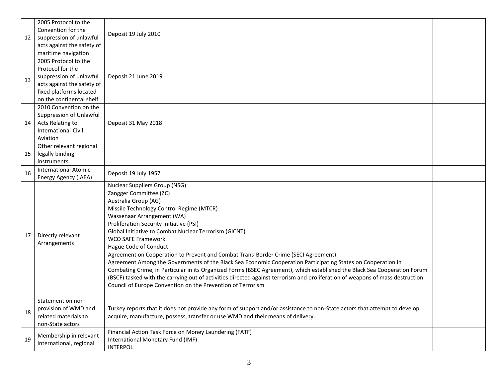| 12 | 2005 Protocol to the<br>Convention for the<br>suppression of unlawful<br>acts against the safety of<br>maritime navigation                               | Deposit 19 July 2010                                                                                                                                                                                                                                                                                                                                                                                                                                                                                                                                                                                                                                                                                                                                                                                                                                          |  |
|----|----------------------------------------------------------------------------------------------------------------------------------------------------------|---------------------------------------------------------------------------------------------------------------------------------------------------------------------------------------------------------------------------------------------------------------------------------------------------------------------------------------------------------------------------------------------------------------------------------------------------------------------------------------------------------------------------------------------------------------------------------------------------------------------------------------------------------------------------------------------------------------------------------------------------------------------------------------------------------------------------------------------------------------|--|
| 13 | 2005 Protocol to the<br>Protocol for the<br>suppression of unlawful<br>acts against the safety of<br>fixed platforms located<br>on the continental shelf | Deposit 21 June 2019                                                                                                                                                                                                                                                                                                                                                                                                                                                                                                                                                                                                                                                                                                                                                                                                                                          |  |
| 14 | 2010 Convention on the<br>Suppression of Unlawful<br>Acts Relating to<br><b>International Civil</b><br>Aviation                                          | Deposit 31 May 2018                                                                                                                                                                                                                                                                                                                                                                                                                                                                                                                                                                                                                                                                                                                                                                                                                                           |  |
| 15 | Other relevant regional<br>legally binding<br>instruments                                                                                                |                                                                                                                                                                                                                                                                                                                                                                                                                                                                                                                                                                                                                                                                                                                                                                                                                                                               |  |
| 16 | International Atomic<br>Energy Agency (IAEA)                                                                                                             | Deposit 19 July 1957                                                                                                                                                                                                                                                                                                                                                                                                                                                                                                                                                                                                                                                                                                                                                                                                                                          |  |
| 17 | Directly relevant<br>Arrangements                                                                                                                        | <b>Nuclear Suppliers Group (NSG)</b><br>Zangger Committee (ZC)<br>Australia Group (AG)<br>Missile Technology Control Regime (MTCR)<br>Wassenaar Arrangement (WA)<br>Proliferation Security Initiative (PSI)<br>Global Initiative to Combat Nuclear Terrorism (GICNT)<br><b>WCO SAFE Framework</b><br>Hague Code of Conduct<br>Agreement on Cooperation to Prevent and Combat Trans-Border Crime (SECI Agreement)<br>Agreement Among the Governments of the Black Sea Economic Cooperation Participating States on Cooperation in<br>Combating Crime, in Particular in its Organized Forms (BSEC Agreement), which established the Black Sea Cooperation Forum<br>(BSCF) tasked with the carrying out of activities directed against terrorism and proliferation of weapons of mass destruction<br>Council of Europe Convention on the Prevention of Terrorism |  |
| 18 | Statement on non-<br>provision of WMD and<br>related materials to<br>non-State actors                                                                    | Turkey reports that it does not provide any form of support and/or assistance to non-State actors that attempt to develop,<br>acquire, manufacture, possess, transfer or use WMD and their means of delivery.                                                                                                                                                                                                                                                                                                                                                                                                                                                                                                                                                                                                                                                 |  |
| 19 | Membership in relevant<br>international, regional                                                                                                        | Financial Action Task Force on Money Laundering (FATF)<br>International Monetary Fund (IMF)<br><b>INTERPOL</b>                                                                                                                                                                                                                                                                                                                                                                                                                                                                                                                                                                                                                                                                                                                                                |  |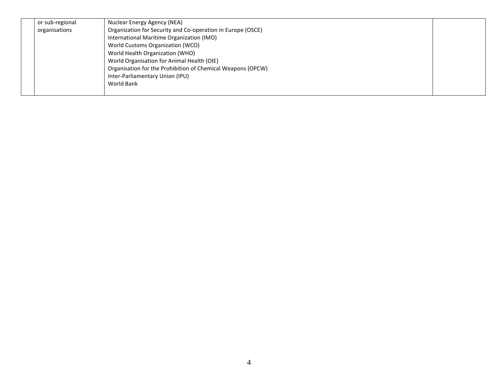| or sub-regional | Nuclear Energy Agency (NEA)                                 |  |
|-----------------|-------------------------------------------------------------|--|
| organisations   | Organization for Security and Co-operation in Europe (OSCE) |  |
|                 | International Maritime Organization (IMO)                   |  |
|                 | World Customs Organization (WCO)                            |  |
|                 | World Health Organization (WHO)                             |  |
|                 | World Organisation for Animal Health (OIE)                  |  |
|                 | Organisation for the Prohibition of Chemical Weapons (OPCW) |  |
|                 | Inter-Parliamentary Union (IPU)                             |  |
|                 | World Bank                                                  |  |
|                 |                                                             |  |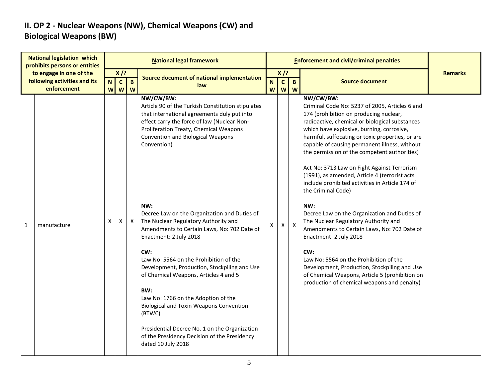#### **II. OP 2 - Nuclear Weapons (NW), Chemical Weapons (CW) and Biological Weapons (BW)**

| <b>National legislation which</b><br>prohibits persons or entities<br>to engage in one of the<br>following activities and its<br>enforcement |             | <b>National legal framework</b> |                             |                     |                                                                                                                                                                                                                                                                                                                                                                                                                                                                                                                                                                                                                                                                                                                                                                                                                      |                                     |                            | <b>Enforcement and civil/criminal penalties</b> |                                                                                                                                                                                                                                                                                                                                                                                                                                                                                                                                                                                                                                                                                                                                                                                                                                                                                                              |                |  |  |
|----------------------------------------------------------------------------------------------------------------------------------------------|-------------|---------------------------------|-----------------------------|---------------------|----------------------------------------------------------------------------------------------------------------------------------------------------------------------------------------------------------------------------------------------------------------------------------------------------------------------------------------------------------------------------------------------------------------------------------------------------------------------------------------------------------------------------------------------------------------------------------------------------------------------------------------------------------------------------------------------------------------------------------------------------------------------------------------------------------------------|-------------------------------------|----------------------------|-------------------------------------------------|--------------------------------------------------------------------------------------------------------------------------------------------------------------------------------------------------------------------------------------------------------------------------------------------------------------------------------------------------------------------------------------------------------------------------------------------------------------------------------------------------------------------------------------------------------------------------------------------------------------------------------------------------------------------------------------------------------------------------------------------------------------------------------------------------------------------------------------------------------------------------------------------------------------|----------------|--|--|
|                                                                                                                                              |             | N<br>W                          | $X$ /?<br>$\mathbf{c}$<br>W | $\overline{B}$<br>W | <b>Source document of national implementation</b><br>law                                                                                                                                                                                                                                                                                                                                                                                                                                                                                                                                                                                                                                                                                                                                                             | $\overline{\mathsf{N}}$<br><b>W</b> | $X$ /?<br>$\mathbf c$<br>W | $\overline{B}$<br>W                             | <b>Source document</b>                                                                                                                                                                                                                                                                                                                                                                                                                                                                                                                                                                                                                                                                                                                                                                                                                                                                                       | <b>Remarks</b> |  |  |
| 1                                                                                                                                            | manufacture | x                               | Χ                           | X                   | NW/CW/BW:<br>Article 90 of the Turkish Constitution stipulates<br>that international agreements duly put into<br>effect carry the force of law (Nuclear Non-<br>Proliferation Treaty, Chemical Weapons<br><b>Convention and Biological Weapons</b><br>Convention)<br>NW:<br>Decree Law on the Organization and Duties of<br>The Nuclear Regulatory Authority and<br>Amendments to Certain Laws, No: 702 Date of<br>Enactment: 2 July 2018<br>CW:<br>Law No: 5564 on the Prohibition of the<br>Development, Production, Stockpiling and Use<br>of Chemical Weapons, Articles 4 and 5<br>BW:<br>Law No: 1766 on the Adoption of the<br><b>Biological and Toxin Weapons Convention</b><br>(BTWC)<br>Presidential Decree No. 1 on the Organization<br>of the Presidency Decision of the Presidency<br>dated 10 July 2018 | X                                   | X                          | $\boldsymbol{\mathsf{x}}$                       | NW/CW/BW:<br>Criminal Code No: 5237 of 2005, Articles 6 and<br>174 (prohibition on producing nuclear,<br>radioactive, chemical or biological substances<br>which have explosive, burning, corrosive,<br>harmful, suffocating or toxic properties, or are<br>capable of causing permanent illness, without<br>the permission of the competent authorities)<br>Act No: 3713 Law on Fight Against Terrorism<br>(1991), as amended, Article 4 (terrorist acts<br>include prohibited activities in Article 174 of<br>the Criminal Code)<br>NW:<br>Decree Law on the Organization and Duties of<br>The Nuclear Regulatory Authority and<br>Amendments to Certain Laws, No: 702 Date of<br>Enactment: 2 July 2018<br>CW:<br>Law No: 5564 on the Prohibition of the<br>Development, Production, Stockpiling and Use<br>of Chemical Weapons, Article 5 (prohibition on<br>production of chemical weapons and penalty) |                |  |  |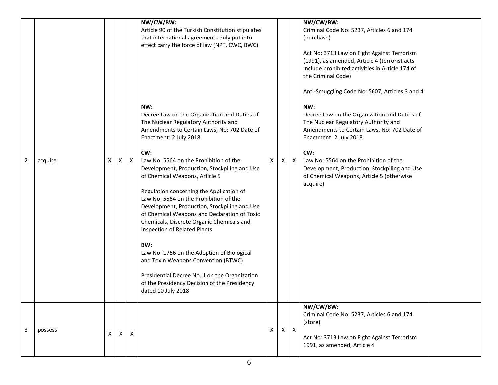|                |         |   |   |              | NW/CW/BW:<br>Article 90 of the Turkish Constitution stipulates<br>that international agreements duly put into<br>effect carry the force of law (NPT, CWC, BWC)                                                                                                                                                                                                                                                                                                                                                                                                                                                                                                                                                                                                                                |   |   |              | NW/CW/BW:<br>Criminal Code No: 5237, Articles 6 and 174<br>(purchase)<br>Act No: 3713 Law on Fight Against Terrorism<br>(1991), as amended, Article 4 (terrorist acts<br>include prohibited activities in Article 174 of<br>the Criminal Code)<br>Anti-Smuggling Code No: 5607, Articles 3 and 4                               |
|----------------|---------|---|---|--------------|-----------------------------------------------------------------------------------------------------------------------------------------------------------------------------------------------------------------------------------------------------------------------------------------------------------------------------------------------------------------------------------------------------------------------------------------------------------------------------------------------------------------------------------------------------------------------------------------------------------------------------------------------------------------------------------------------------------------------------------------------------------------------------------------------|---|---|--------------|--------------------------------------------------------------------------------------------------------------------------------------------------------------------------------------------------------------------------------------------------------------------------------------------------------------------------------|
| $\overline{2}$ | acquire | X | Χ | $\mathsf{X}$ | NW:<br>Decree Law on the Organization and Duties of<br>The Nuclear Regulatory Authority and<br>Amendments to Certain Laws, No: 702 Date of<br>Enactment: 2 July 2018<br>CW:<br>Law No: 5564 on the Prohibition of the<br>Development, Production, Stockpiling and Use<br>of Chemical Weapons, Article 5<br>Regulation concerning the Application of<br>Law No: 5564 on the Prohibition of the<br>Development, Production, Stockpiling and Use<br>of Chemical Weapons and Declaration of Toxic<br>Chemicals, Discrete Organic Chemicals and<br>Inspection of Related Plants<br>BW:<br>Law No: 1766 on the Adoption of Biological<br>and Toxin Weapons Convention (BTWC)<br>Presidential Decree No. 1 on the Organization<br>of the Presidency Decision of the Presidency<br>dated 10 July 2018 | X | Χ | $\mathsf{X}$ | NW:<br>Decree Law on the Organization and Duties of<br>The Nuclear Regulatory Authority and<br>Amendments to Certain Laws, No: 702 Date of<br>Enactment: 2 July 2018<br>CW:<br>Law No: 5564 on the Prohibition of the<br>Development, Production, Stockpiling and Use<br>of Chemical Weapons, Article 5 (otherwise<br>acquire) |
| 3              | possess | Χ | Χ | X            |                                                                                                                                                                                                                                                                                                                                                                                                                                                                                                                                                                                                                                                                                                                                                                                               | X | X | $\mathsf{X}$ | NW/CW/BW:<br>Criminal Code No: 5237, Articles 6 and 174<br>(store)<br>Act No: 3713 Law on Fight Against Terrorism<br>1991, as amended, Article 4                                                                                                                                                                               |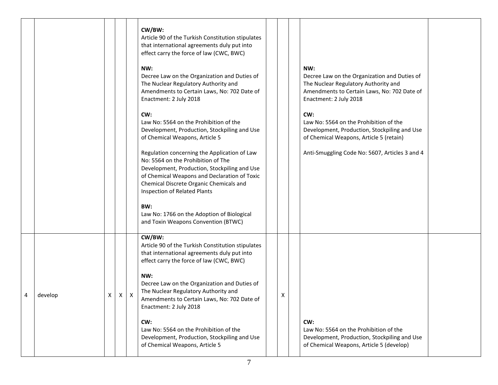|   |         |   |   |   | CW/BW:<br>Article 90 of the Turkish Constitution stipulates<br>that international agreements duly put into<br>effect carry the force of law (CWC, BWC)<br>NW:<br>Decree Law on the Organization and Duties of<br>The Nuclear Regulatory Authority and<br>Amendments to Certain Laws, No: 702 Date of<br>Enactment: 2 July 2018<br>CW:<br>Law No: 5564 on the Prohibition of the<br>Development, Production, Stockpiling and Use<br>of Chemical Weapons, Article 5<br>Regulation concerning the Application of Law<br>No: 5564 on the Prohibition of The<br>Development, Production, Stockpiling and Use<br>of Chemical Weapons and Declaration of Toxic<br>Chemical Discrete Organic Chemicals and<br>Inspection of Related Plants<br>BW:<br>Law No: 1766 on the Adoption of Biological<br>and Toxin Weapons Convention (BTWC) |   | NW:<br>Decree Law on the Organization and Duties of<br>The Nuclear Regulatory Authority and<br>Amendments to Certain Laws, No: 702 Date of<br>Enactment: 2 July 2018<br>CW:<br>Law No: 5564 on the Prohibition of the<br>Development, Production, Stockpiling and Use<br>of Chemical Weapons, Article 5 (retain)<br>Anti-Smuggling Code No: 5607, Articles 3 and 4 |  |
|---|---------|---|---|---|--------------------------------------------------------------------------------------------------------------------------------------------------------------------------------------------------------------------------------------------------------------------------------------------------------------------------------------------------------------------------------------------------------------------------------------------------------------------------------------------------------------------------------------------------------------------------------------------------------------------------------------------------------------------------------------------------------------------------------------------------------------------------------------------------------------------------------|---|--------------------------------------------------------------------------------------------------------------------------------------------------------------------------------------------------------------------------------------------------------------------------------------------------------------------------------------------------------------------|--|
| 4 | develop | Χ | X | Χ | CW/BW:<br>Article 90 of the Turkish Constitution stipulates<br>that international agreements duly put into<br>effect carry the force of law (CWC, BWC)<br>NW:<br>Decree Law on the Organization and Duties of<br>The Nuclear Regulatory Authority and<br>Amendments to Certain Laws, No: 702 Date of<br>Enactment: 2 July 2018<br>CW:<br>Law No: 5564 on the Prohibition of the<br>Development, Production, Stockpiling and Use<br>of Chemical Weapons, Article 5                                                                                                                                                                                                                                                                                                                                                              | x | CW:<br>Law No: 5564 on the Prohibition of the<br>Development, Production, Stockpiling and Use<br>of Chemical Weapons, Article 5 (develop)                                                                                                                                                                                                                          |  |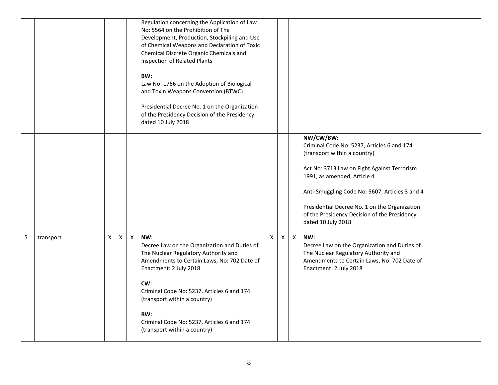|   |           |    |              |              | Regulation concerning the Application of Law<br>No: 5564 on the Prohibition of The<br>Development, Production, Stockpiling and Use<br>of Chemical Weapons and Declaration of Toxic<br>Chemical Discrete Organic Chemicals and<br>Inspection of Related Plants<br>BW:<br>Law No: 1766 on the Adoption of Biological<br>and Toxin Weapons Convention (BTWC)<br>Presidential Decree No. 1 on the Organization<br>of the Presidency Decision of the Presidency<br>dated 10 July 2018 |    |    |              |                                                                                                                                                                                                                                                                                                                                                                                                                                                                                                                        |  |
|---|-----------|----|--------------|--------------|----------------------------------------------------------------------------------------------------------------------------------------------------------------------------------------------------------------------------------------------------------------------------------------------------------------------------------------------------------------------------------------------------------------------------------------------------------------------------------|----|----|--------------|------------------------------------------------------------------------------------------------------------------------------------------------------------------------------------------------------------------------------------------------------------------------------------------------------------------------------------------------------------------------------------------------------------------------------------------------------------------------------------------------------------------------|--|
| 5 | transport | X. | $\mathsf{X}$ | $\mathsf{X}$ | NW:<br>Decree Law on the Organization and Duties of<br>The Nuclear Regulatory Authority and<br>Amendments to Certain Laws, No: 702 Date of<br>Enactment: 2 July 2018<br>CW:<br>Criminal Code No: 5237, Articles 6 and 174<br>(transport within a country)<br>BW:<br>Criminal Code No: 5237, Articles 6 and 174<br>(transport within a country)                                                                                                                                   | X. | X. | $\mathsf{X}$ | NW/CW/BW:<br>Criminal Code No: 5237, Articles 6 and 174<br>(transport within a country)<br>Act No: 3713 Law on Fight Against Terrorism<br>1991, as amended, Article 4<br>Anti-Smuggling Code No: 5607, Articles 3 and 4<br>Presidential Decree No. 1 on the Organization<br>of the Presidency Decision of the Presidency<br>dated 10 July 2018<br>NW:<br>Decree Law on the Organization and Duties of<br>The Nuclear Regulatory Authority and<br>Amendments to Certain Laws, No: 702 Date of<br>Enactment: 2 July 2018 |  |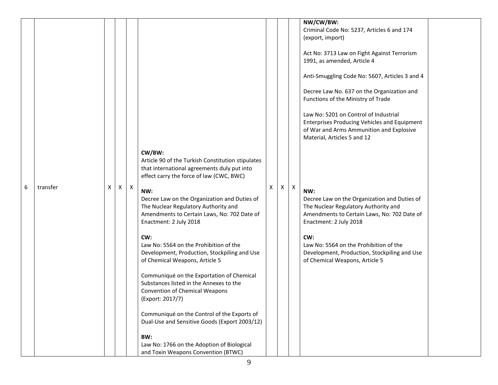|   |          |   |              |              |                                                                                                                                                                      |   |   |                           | NW/CW/BW:<br>Criminal Code No: 5237, Articles 6 and 174<br>(export, import)                                                                                          |  |
|---|----------|---|--------------|--------------|----------------------------------------------------------------------------------------------------------------------------------------------------------------------|---|---|---------------------------|----------------------------------------------------------------------------------------------------------------------------------------------------------------------|--|
|   |          |   |              |              |                                                                                                                                                                      |   |   |                           | Act No: 3713 Law on Fight Against Terrorism<br>1991, as amended, Article 4                                                                                           |  |
|   |          |   |              |              |                                                                                                                                                                      |   |   |                           | Anti-Smuggling Code No: 5607, Articles 3 and 4                                                                                                                       |  |
|   |          |   |              |              |                                                                                                                                                                      |   |   |                           | Decree Law No. 637 on the Organization and<br>Functions of the Ministry of Trade                                                                                     |  |
|   |          |   |              |              |                                                                                                                                                                      |   |   |                           | Law No: 5201 on Control of Industrial<br>Enterprises Producing Vehicles and Equipment<br>of War and Arms Ammunition and Explosive<br>Material, Articles 5 and 12     |  |
|   |          |   |              |              | CW/BW:                                                                                                                                                               |   |   |                           |                                                                                                                                                                      |  |
|   |          |   |              |              | Article 90 of the Turkish Constitution stipulates<br>that international agreements duly put into<br>effect carry the force of law (CWC, BWC)                         |   |   |                           |                                                                                                                                                                      |  |
| 6 | transfer | Χ | $\mathsf{X}$ | $\mathsf{X}$ | NW:<br>Decree Law on the Organization and Duties of<br>The Nuclear Regulatory Authority and<br>Amendments to Certain Laws, No: 702 Date of<br>Enactment: 2 July 2018 | X | X | $\boldsymbol{\mathsf{X}}$ | NW:<br>Decree Law on the Organization and Duties of<br>The Nuclear Regulatory Authority and<br>Amendments to Certain Laws, No: 702 Date of<br>Enactment: 2 July 2018 |  |
|   |          |   |              |              | CW:<br>Law No: 5564 on the Prohibition of the<br>Development, Production, Stockpiling and Use<br>of Chemical Weapons, Article 5                                      |   |   |                           | CW:<br>Law No: 5564 on the Prohibition of the<br>Development, Production, Stockpiling and Use<br>of Chemical Weapons, Article 5                                      |  |
|   |          |   |              |              | Communiqué on the Exportation of Chemical<br>Substances listed in the Annexes to the<br><b>Convention of Chemical Weapons</b><br>(Export: 2017/7)                    |   |   |                           |                                                                                                                                                                      |  |
|   |          |   |              |              | Communiqué on the Control of the Exports of<br>Dual-Use and Sensitive Goods (Export 2003/12)                                                                         |   |   |                           |                                                                                                                                                                      |  |
|   |          |   |              |              | BW:<br>Law No: 1766 on the Adoption of Biological<br>and Toxin Weapons Convention (BTWC)                                                                             |   |   |                           |                                                                                                                                                                      |  |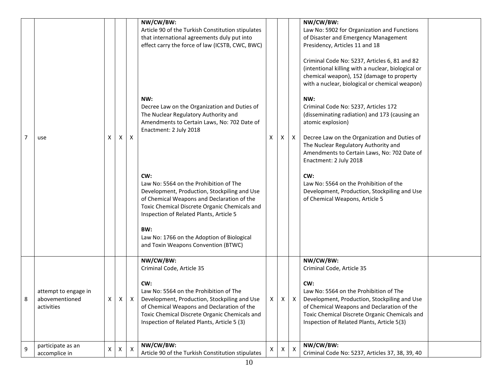| 7 | use                                                  | x   | X | $\mathsf{X}$ | NW/CW/BW:<br>Article 90 of the Turkish Constitution stipulates<br>that international agreements duly put into<br>effect carry the force of law (ICSTB, CWC, BWC)<br>NW:<br>Decree Law on the Organization and Duties of<br>The Nuclear Regulatory Authority and<br>Amendments to Certain Laws, No: 702 Date of<br>Enactment: 2 July 2018<br>CW:<br>Law No: 5564 on the Prohibition of The<br>Development, Production, Stockpiling and Use<br>of Chemical Weapons and Declaration of the<br>Toxic Chemical Discrete Organic Chemicals and<br>Inspection of Related Plants, Article 5<br>BW:<br>Law No: 1766 on the Adoption of Biological<br>and Toxin Weapons Convention (BTWC) | X | X | X | NW/CW/BW:<br>Law No: 5902 for Organization and Functions<br>of Disaster and Emergency Management<br>Presidency, Articles 11 and 18<br>Criminal Code No: 5237, Articles 6, 81 and 82<br>(intentional killing with a nuclear, biological or<br>chemical weapon), 152 (damage to property<br>with a nuclear, biological or chemical weapon)<br>NW:<br>Criminal Code No: 5237, Articles 172<br>(disseminating radiation) and 173 (causing an<br>atomic explosion)<br>Decree Law on the Organization and Duties of<br>The Nuclear Regulatory Authority and<br>Amendments to Certain Laws, No: 702 Date of<br>Enactment: 2 July 2018<br>CW:<br>Law No: 5564 on the Prohibition of the<br>Development, Production, Stockpiling and Use<br>of Chemical Weapons, Article 5 |  |
|---|------------------------------------------------------|-----|---|--------------|---------------------------------------------------------------------------------------------------------------------------------------------------------------------------------------------------------------------------------------------------------------------------------------------------------------------------------------------------------------------------------------------------------------------------------------------------------------------------------------------------------------------------------------------------------------------------------------------------------------------------------------------------------------------------------|---|---|---|-------------------------------------------------------------------------------------------------------------------------------------------------------------------------------------------------------------------------------------------------------------------------------------------------------------------------------------------------------------------------------------------------------------------------------------------------------------------------------------------------------------------------------------------------------------------------------------------------------------------------------------------------------------------------------------------------------------------------------------------------------------------|--|
|   | attempt to engage in<br>abovementioned<br>activities | X I |   |              | NW/CW/BW:<br>Criminal Code, Article 35<br>CW:<br>Law No: 5564 on the Prohibition of The<br>$X \mid X$ Development, Production, Stockpiling and Use<br>of Chemical Weapons and Declaration of the<br>Toxic Chemical Discrete Organic Chemicals and<br>Inspection of Related Plants, Article 5 (3)                                                                                                                                                                                                                                                                                                                                                                                | X |   |   | NW/CW/BW:<br>Criminal Code, Article 35<br>CW:<br>Law No: 5564 on the Prohibition of The<br>Development, Production, Stockpiling and Use<br>of Chemical Weapons and Declaration of the<br>Toxic Chemical Discrete Organic Chemicals and<br>Inspection of Related Plants, Article 5(3)                                                                                                                                                                                                                                                                                                                                                                                                                                                                              |  |
| 9 | participate as an<br>accomplice in                   | X   |   | X            | NW/CW/BW:<br>Article 90 of the Turkish Constitution stipulates                                                                                                                                                                                                                                                                                                                                                                                                                                                                                                                                                                                                                  | x |   | X | NW/CW/BW:<br>Criminal Code No: 5237, Articles 37, 38, 39, 40                                                                                                                                                                                                                                                                                                                                                                                                                                                                                                                                                                                                                                                                                                      |  |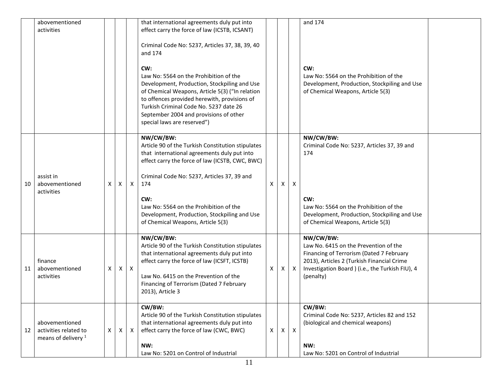|    | abovementioned<br>activities                                              |   |   |              | that international agreements duly put into<br>effect carry the force of law (ICSTB, ICSANT)                                                                                                                                                                                                                        |   |   |                           | and 174                                                                                                                                                                                                       |  |
|----|---------------------------------------------------------------------------|---|---|--------------|---------------------------------------------------------------------------------------------------------------------------------------------------------------------------------------------------------------------------------------------------------------------------------------------------------------------|---|---|---------------------------|---------------------------------------------------------------------------------------------------------------------------------------------------------------------------------------------------------------|--|
|    |                                                                           |   |   |              | Criminal Code No: 5237, Articles 37, 38, 39, 40<br>and 174                                                                                                                                                                                                                                                          |   |   |                           |                                                                                                                                                                                                               |  |
|    |                                                                           |   |   |              | CW:<br>Law No: 5564 on the Prohibition of the<br>Development, Production, Stockpiling and Use<br>of Chemical Weapons, Article 5(3) ("In relation<br>to offences provided herewith, provisions of<br>Turkish Criminal Code No. 5237 date 26<br>September 2004 and provisions of other<br>special laws are reserved") |   |   |                           | CW:<br>Law No: 5564 on the Prohibition of the<br>Development, Production, Stockpiling and Use<br>of Chemical Weapons, Article 5(3)                                                                            |  |
| 10 | assist in<br>abovementioned                                               | X | X | $\mathsf{X}$ | NW/CW/BW:<br>Article 90 of the Turkish Constitution stipulates<br>that international agreements duly put into<br>effect carry the force of law (ICSTB, CWC, BWC)<br>Criminal Code No: 5237, Articles 37, 39 and<br>174                                                                                              | X | X | $\boldsymbol{\mathsf{X}}$ | NW/CW/BW:<br>Criminal Code No: 5237, Articles 37, 39 and<br>174                                                                                                                                               |  |
|    | activities                                                                |   |   |              | CW:<br>Law No: 5564 on the Prohibition of the<br>Development, Production, Stockpiling and Use<br>of Chemical Weapons, Article 5(3)                                                                                                                                                                                  |   |   |                           | CW:<br>Law No: 5564 on the Prohibition of the<br>Development, Production, Stockpiling and Use<br>of Chemical Weapons, Article 5(3)                                                                            |  |
| 11 | finance<br>abovementioned<br>activities                                   | X | X | $\mathsf{X}$ | NW/CW/BW:<br>Article 90 of the Turkish Constitution stipulates<br>that international agreements duly put into<br>effect carry the force of law (ICSFT, ICSTB)<br>Law No. 6415 on the Prevention of the<br>Financing of Terrorism (Dated 7 February<br>2013), Article 3                                              | Χ | X | $\boldsymbol{\mathsf{X}}$ | NW/CW/BW:<br>Law No. 6415 on the Prevention of the<br>Financing of Terrorism (Dated 7 February<br>2013), Articles 2 (Turkish Financial Crime<br>Investigation Board ) (i.e., the Turkish FIU), 4<br>(penalty) |  |
| 12 | abovementioned<br>activities related to<br>means of delivery <sup>1</sup> | X | Χ | Χ            | CW/BW:<br>Article 90 of the Turkish Constitution stipulates<br>that international agreements duly put into<br>effect carry the force of law (CWC, BWC)<br>NW:<br>Law No: 5201 on Control of Industrial                                                                                                              | X | x | $\boldsymbol{\mathsf{X}}$ | CW/BW:<br>Criminal Code No: 5237, Articles 82 and 152<br>(biological and chemical weapons)<br>NW:<br>Law No: 5201 on Control of Industrial                                                                    |  |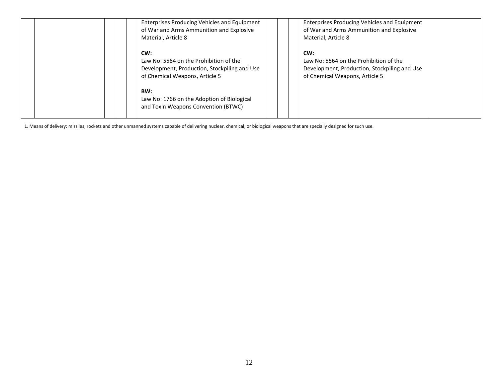| Enterprises Producing Vehicles and Equipment<br>of War and Arms Ammunition and Explosive<br>Material, Article 8                 | Enterprises Producing Vehicles and Equipment<br>of War and Arms Ammunition and Explosive<br>Material, Article 8                 |
|---------------------------------------------------------------------------------------------------------------------------------|---------------------------------------------------------------------------------------------------------------------------------|
| CW:<br>Law No: 5564 on the Prohibition of the<br>Development, Production, Stockpiling and Use<br>of Chemical Weapons, Article 5 | CW:<br>Law No: 5564 on the Prohibition of the<br>Development, Production, Stockpiling and Use<br>of Chemical Weapons, Article 5 |
| BW:<br>Law No: 1766 on the Adoption of Biological<br>and Toxin Weapons Convention (BTWC)                                        |                                                                                                                                 |

1. Means of delivery: missiles, rockets and other unmanned systems capable of delivering nuclear, chemical, or biological weapons that are specially designed for such use.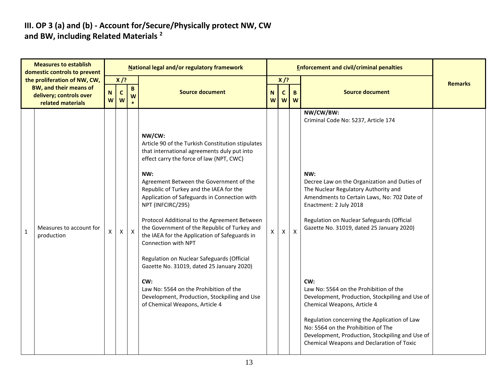#### **III. OP 3 (a) and (b) - Account for/Secure/Physically protect NW, CW and BW, including Related Materials <sup>2</sup>**

| <b>Measures to establish</b><br>domestic controls to prevent |                                                                                                               | National legal and/or regulatory framework |                             |                   |                                                                                                                                                                                                                                                                                                                                                                                                                                                                                                                                                                                                                                                                                                                                |                  |                                                     |                          | <b>Enforcement and civil/criminal penalties</b>                                                                                                                                                                                                                                                                                                                                                                                                        |                |
|--------------------------------------------------------------|---------------------------------------------------------------------------------------------------------------|--------------------------------------------|-----------------------------|-------------------|--------------------------------------------------------------------------------------------------------------------------------------------------------------------------------------------------------------------------------------------------------------------------------------------------------------------------------------------------------------------------------------------------------------------------------------------------------------------------------------------------------------------------------------------------------------------------------------------------------------------------------------------------------------------------------------------------------------------------------|------------------|-----------------------------------------------------|--------------------------|--------------------------------------------------------------------------------------------------------------------------------------------------------------------------------------------------------------------------------------------------------------------------------------------------------------------------------------------------------------------------------------------------------------------------------------------------------|----------------|
|                                                              | the proliferation of NW, CW,<br><b>BW, and their means of</b><br>delivery; controls over<br>related materials | N<br>W                                     | $X$ /?<br>$\mathbf{C}$<br>W | $\mathbf{B}$<br>W | <b>Source document</b>                                                                                                                                                                                                                                                                                                                                                                                                                                                                                                                                                                                                                                                                                                         | $\mathbf N$<br>W | $X$ /?<br>$\mathsf{C}$<br>$\boldsymbol{\mathsf{W}}$ | $\mathbf{B}$<br><b>W</b> | <b>Source document</b>                                                                                                                                                                                                                                                                                                                                                                                                                                 | <b>Remarks</b> |
| $\mathbf{1}$                                                 | Measures to account for<br>production                                                                         | X.                                         | $\mathsf{X}$                | $\mathsf{X}$      | NW/CW:<br>Article 90 of the Turkish Constitution stipulates<br>that international agreements duly put into<br>effect carry the force of law (NPT, CWC)<br>NW:<br>Agreement Between the Government of the<br>Republic of Turkey and the IAEA for the<br>Application of Safeguards in Connection with<br>NPT (INFCIRC/295)<br>Protocol Additional to the Agreement Between<br>the Government of the Republic of Turkey and<br>the IAEA for the Application of Safeguards in<br>Connection with NPT<br>Regulation on Nuclear Safeguards (Official<br>Gazette No. 31019, dated 25 January 2020)<br>CW:<br>Law No: 5564 on the Prohibition of the<br>Development, Production, Stockpiling and Use<br>of Chemical Weapons, Article 4 | X.               | X                                                   | X                        | NW/CW/BW:<br>Criminal Code No: 5237, Article 174<br>NW:<br>Decree Law on the Organization and Duties of<br>The Nuclear Regulatory Authority and<br>Amendments to Certain Laws, No: 702 Date of<br>Enactment: 2 July 2018<br>Regulation on Nuclear Safeguards (Official<br>Gazette No. 31019, dated 25 January 2020)<br>CW:<br>Law No: 5564 on the Prohibition of the<br>Development, Production, Stockpiling and Use of<br>Chemical Weapons, Article 4 |                |
|                                                              |                                                                                                               |                                            |                             |                   |                                                                                                                                                                                                                                                                                                                                                                                                                                                                                                                                                                                                                                                                                                                                |                  |                                                     |                          | Regulation concerning the Application of Law<br>No: 5564 on the Prohibition of The<br>Development, Production, Stockpiling and Use of<br>Chemical Weapons and Declaration of Toxic                                                                                                                                                                                                                                                                     |                |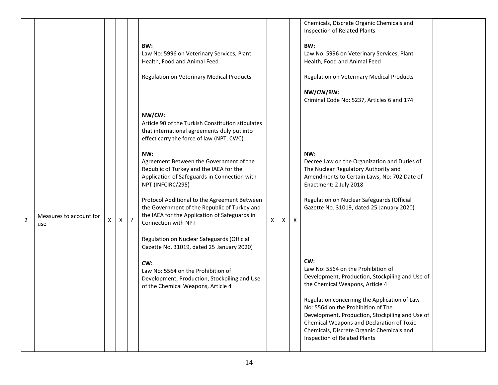|                |                                |   |   |         | BW:<br>Law No: 5996 on Veterinary Services, Plant<br>Health, Food and Animal Feed<br>Regulation on Veterinary Medical Products                                                                                                                                                                                                                                                                                                                                                                                                                                                                                                                                                                                                 |   |   |                  | Chemicals, Discrete Organic Chemicals and<br>Inspection of Related Plants<br>BW:<br>Law No: 5996 on Veterinary Services, Plant<br>Health, Food and Animal Feed<br>Regulation on Veterinary Medical Products                                                                                                                                                                                                                                                                                                                                                                                                                                                                                                                             |  |
|----------------|--------------------------------|---|---|---------|--------------------------------------------------------------------------------------------------------------------------------------------------------------------------------------------------------------------------------------------------------------------------------------------------------------------------------------------------------------------------------------------------------------------------------------------------------------------------------------------------------------------------------------------------------------------------------------------------------------------------------------------------------------------------------------------------------------------------------|---|---|------------------|-----------------------------------------------------------------------------------------------------------------------------------------------------------------------------------------------------------------------------------------------------------------------------------------------------------------------------------------------------------------------------------------------------------------------------------------------------------------------------------------------------------------------------------------------------------------------------------------------------------------------------------------------------------------------------------------------------------------------------------------|--|
| $\overline{2}$ | Measures to account for<br>use | X | X | $\cdot$ | NW/CW:<br>Article 90 of the Turkish Constitution stipulates<br>that international agreements duly put into<br>effect carry the force of law (NPT, CWC)<br>NW:<br>Agreement Between the Government of the<br>Republic of Turkey and the IAEA for the<br>Application of Safeguards in Connection with<br>NPT (INFCIRC/295)<br>Protocol Additional to the Agreement Between<br>the Government of the Republic of Turkey and<br>the IAEA for the Application of Safeguards in<br>Connection with NPT<br>Regulation on Nuclear Safeguards (Official<br>Gazette No. 31019, dated 25 January 2020)<br>CW:<br>Law No: 5564 on the Prohibition of<br>Development, Production, Stockpiling and Use<br>of the Chemical Weapons, Article 4 | X | X | $\boldsymbol{X}$ | NW/CW/BW:<br>Criminal Code No: 5237, Articles 6 and 174<br>NW:<br>Decree Law on the Organization and Duties of<br>The Nuclear Regulatory Authority and<br>Amendments to Certain Laws, No: 702 Date of<br>Enactment: 2 July 2018<br>Regulation on Nuclear Safeguards (Official<br>Gazette No. 31019, dated 25 January 2020)<br>CW:<br>Law No: 5564 on the Prohibition of<br>Development, Production, Stockpiling and Use of<br>the Chemical Weapons, Article 4<br>Regulation concerning the Application of Law<br>No: 5564 on the Prohibition of The<br>Development, Production, Stockpiling and Use of<br>Chemical Weapons and Declaration of Toxic<br>Chemicals, Discrete Organic Chemicals and<br><b>Inspection of Related Plants</b> |  |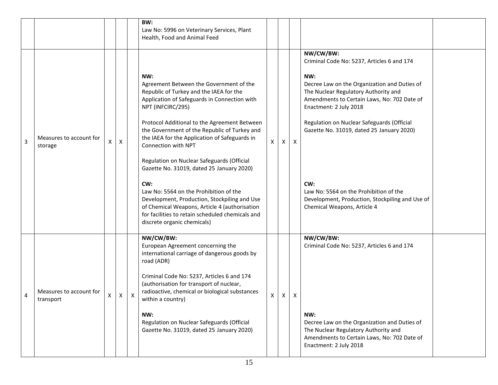|   |                                      |   |              |   | BW:<br>Law No: 5996 on Veterinary Services, Plant<br>Health, Food and Animal Feed                                                                                                                                                                                                                                                                                                                                                                                                                                                                                                                                                                                      |   |              |                           |                                                                                                                                                                                                                                                                                                                                                                                                                                                               |
|---|--------------------------------------|---|--------------|---|------------------------------------------------------------------------------------------------------------------------------------------------------------------------------------------------------------------------------------------------------------------------------------------------------------------------------------------------------------------------------------------------------------------------------------------------------------------------------------------------------------------------------------------------------------------------------------------------------------------------------------------------------------------------|---|--------------|---------------------------|---------------------------------------------------------------------------------------------------------------------------------------------------------------------------------------------------------------------------------------------------------------------------------------------------------------------------------------------------------------------------------------------------------------------------------------------------------------|
| 3 | Measures to account for<br>storage   | X | X            |   | NW:<br>Agreement Between the Government of the<br>Republic of Turkey and the IAEA for the<br>Application of Safeguards in Connection with<br>NPT (INFCIRC/295)<br>Protocol Additional to the Agreement Between<br>the Government of the Republic of Turkey and<br>the IAEA for the Application of Safeguards in<br>Connection with NPT<br>Regulation on Nuclear Safeguards (Official<br>Gazette No. 31019, dated 25 January 2020)<br>CW:<br>Law No: 5564 on the Prohibition of the<br>Development, Production, Stockpiling and Use<br>of Chemical Weapons, Article 4 (authorisation<br>for facilities to retain scheduled chemicals and<br>discrete organic chemicals) | X | $\mathsf{X}$ | $\boldsymbol{\mathsf{X}}$ | NW/CW/BW:<br>Criminal Code No: 5237, Articles 6 and 174<br>NW:<br>Decree Law on the Organization and Duties of<br>The Nuclear Regulatory Authority and<br>Amendments to Certain Laws, No: 702 Date of<br>Enactment: 2 July 2018<br>Regulation on Nuclear Safeguards (Official<br>Gazette No. 31019, dated 25 January 2020)<br>CW:<br>Law No: 5564 on the Prohibition of the<br>Development, Production, Stockpiling and Use of<br>Chemical Weapons, Article 4 |
| 4 | Measures to account for<br>transport | X | $\mathsf{X}$ | Χ | NW/CW/BW:<br>European Agreement concerning the<br>international carriage of dangerous goods by<br>road (ADR)<br>Criminal Code No: 5237, Articles 6 and 174<br>(authorisation for transport of nuclear,<br>radioactive, chemical or biological substances<br>within a country)<br>NW:<br>Regulation on Nuclear Safeguards (Official<br>Gazette No. 31019, dated 25 January 2020)                                                                                                                                                                                                                                                                                        | X | $\mathsf{X}$ | X                         | NW/CW/BW:<br>Criminal Code No: 5237, Articles 6 and 174<br>NW:<br>Decree Law on the Organization and Duties of<br>The Nuclear Regulatory Authority and<br>Amendments to Certain Laws, No: 702 Date of<br>Enactment: 2 July 2018                                                                                                                                                                                                                               |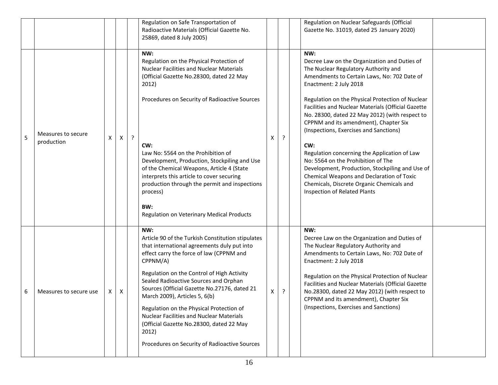|   |                                  |   |   |         | Regulation on Safe Transportation of<br>Radioactive Materials (Official Gazette No.<br>25869, dated 8 July 2005)                                                                                                                                                                                                                                                                                                                                                                                                                             |   |         | Regulation on Nuclear Safeguards (Official<br>Gazette No. 31019, dated 25 January 2020)                                                                                                                                                                                                                                                                                                                                                                                                                                                                                                                                                                                                       |  |
|---|----------------------------------|---|---|---------|----------------------------------------------------------------------------------------------------------------------------------------------------------------------------------------------------------------------------------------------------------------------------------------------------------------------------------------------------------------------------------------------------------------------------------------------------------------------------------------------------------------------------------------------|---|---------|-----------------------------------------------------------------------------------------------------------------------------------------------------------------------------------------------------------------------------------------------------------------------------------------------------------------------------------------------------------------------------------------------------------------------------------------------------------------------------------------------------------------------------------------------------------------------------------------------------------------------------------------------------------------------------------------------|--|
| 5 | Measures to secure<br>production | X | X | $\cdot$ | NW:<br>Regulation on the Physical Protection of<br><b>Nuclear Facilities and Nuclear Materials</b><br>(Official Gazette No.28300, dated 22 May<br>2012)<br>Procedures on Security of Radioactive Sources<br>CW:<br>Law No: 5564 on the Prohibition of<br>Development, Production, Stockpiling and Use<br>of the Chemical Weapons, Article 4 (State<br>interprets this article to cover securing<br>production through the permit and inspections<br>process)<br>BW:<br>Regulation on Veterinary Medical Products                             | X | $\cdot$ | NW:<br>Decree Law on the Organization and Duties of<br>The Nuclear Regulatory Authority and<br>Amendments to Certain Laws, No: 702 Date of<br>Enactment: 2 July 2018<br>Regulation on the Physical Protection of Nuclear<br>Facilities and Nuclear Materials (Official Gazette<br>No. 28300, dated 22 May 2012) (with respect to<br>CPPNM and its amendment), Chapter Six<br>(Inspections, Exercises and Sanctions)<br>CW:<br>Regulation concerning the Application of Law<br>No: 5564 on the Prohibition of The<br>Development, Production, Stockpiling and Use of<br>Chemical Weapons and Declaration of Toxic<br>Chemicals, Discrete Organic Chemicals and<br>Inspection of Related Plants |  |
| 6 | Measures to secure use           | Χ | X |         | NW:<br>Article 90 of the Turkish Constitution stipulates<br>that international agreements duly put into<br>effect carry the force of law (CPPNM and<br>CPPNM/A)<br>Regulation on the Control of High Activity<br>Sealed Radioactive Sources and Orphan<br>Sources (Official Gazette No.27176, dated 21<br>March 2009), Articles 5, 6(b)<br>Regulation on the Physical Protection of<br><b>Nuclear Facilities and Nuclear Materials</b><br>(Official Gazette No.28300, dated 22 May<br>2012)<br>Procedures on Security of Radioactive Sources | X | ?       | NW:<br>Decree Law on the Organization and Duties of<br>The Nuclear Regulatory Authority and<br>Amendments to Certain Laws, No: 702 Date of<br>Enactment: 2 July 2018<br>Regulation on the Physical Protection of Nuclear<br>Facilities and Nuclear Materials (Official Gazette<br>No.28300, dated 22 May 2012) (with respect to<br>CPPNM and its amendment), Chapter Six<br>(Inspections, Exercises and Sanctions)                                                                                                                                                                                                                                                                            |  |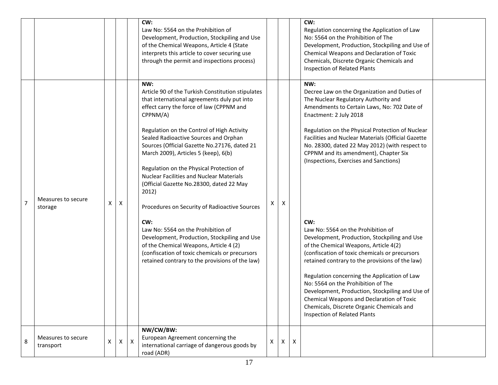|                |                                 |   |                           |             | CW:<br>Law No: 5564 on the Prohibition of<br>Development, Production, Stockpiling and Use<br>of the Chemical Weapons, Article 4 (State<br>interprets this article to cover securing use<br>through the permit and inspections process)                                                                                                                                                                                                                                                                                                                                                                                                                                                                                                                                                          |   |   |              | CW:<br>Regulation concerning the Application of Law<br>No: 5564 on the Prohibition of The<br>Development, Production, Stockpiling and Use of<br>Chemical Weapons and Declaration of Toxic<br>Chemicals, Discrete Organic Chemicals and<br>Inspection of Related Plants                                                                                                                                                                                                                                                                                                                                                                                         |  |
|----------------|---------------------------------|---|---------------------------|-------------|-------------------------------------------------------------------------------------------------------------------------------------------------------------------------------------------------------------------------------------------------------------------------------------------------------------------------------------------------------------------------------------------------------------------------------------------------------------------------------------------------------------------------------------------------------------------------------------------------------------------------------------------------------------------------------------------------------------------------------------------------------------------------------------------------|---|---|--------------|----------------------------------------------------------------------------------------------------------------------------------------------------------------------------------------------------------------------------------------------------------------------------------------------------------------------------------------------------------------------------------------------------------------------------------------------------------------------------------------------------------------------------------------------------------------------------------------------------------------------------------------------------------------|--|
| $\overline{7}$ | Measures to secure<br>storage   | X | $\boldsymbol{\mathsf{X}}$ |             | NW:<br>Article 90 of the Turkish Constitution stipulates<br>that international agreements duly put into<br>effect carry the force of law (CPPNM and<br>CPPNM/A)<br>Regulation on the Control of High Activity<br>Sealed Radioactive Sources and Orphan<br>Sources (Official Gazette No.27176, dated 21<br>March 2009), Articles 5 (keep), 6(b)<br>Regulation on the Physical Protection of<br><b>Nuclear Facilities and Nuclear Materials</b><br>(Official Gazette No.28300, dated 22 May<br>2012)<br>Procedures on Security of Radioactive Sources<br>CW:<br>Law No: 5564 on the Prohibition of<br>Development, Production, Stockpiling and Use<br>of the Chemical Weapons, Article 4 (2)<br>(confiscation of toxic chemicals or precursors<br>retained contrary to the provisions of the law) | X | X |              | NW:<br>Decree Law on the Organization and Duties of<br>The Nuclear Regulatory Authority and<br>Amendments to Certain Laws, No: 702 Date of<br>Enactment: 2 July 2018<br>Regulation on the Physical Protection of Nuclear<br>Facilities and Nuclear Materials (Official Gazette<br>No. 28300, dated 22 May 2012) (with respect to<br>CPPNM and its amendment), Chapter Six<br>(Inspections, Exercises and Sanctions)<br>CW:<br>Law No: 5564 on the Prohibition of<br>Development, Production, Stockpiling and Use<br>of the Chemical Weapons, Article 4(2)<br>(confiscation of toxic chemicals or precursors<br>retained contrary to the provisions of the law) |  |
|                |                                 |   |                           |             |                                                                                                                                                                                                                                                                                                                                                                                                                                                                                                                                                                                                                                                                                                                                                                                                 |   |   |              | Regulation concerning the Application of Law<br>No: 5564 on the Prohibition of The<br>Development, Production, Stockpiling and Use of<br>Chemical Weapons and Declaration of Toxic<br>Chemicals, Discrete Organic Chemicals and<br><b>Inspection of Related Plants</b>                                                                                                                                                                                                                                                                                                                                                                                         |  |
| 8              | Measures to secure<br>transport | X | $\mathsf{X}^-$            | $\mathsf X$ | NW/CW/BW:<br>European Agreement concerning the<br>international carriage of dangerous goods by<br>road (ADR)                                                                                                                                                                                                                                                                                                                                                                                                                                                                                                                                                                                                                                                                                    | X | X | $\mathsf{X}$ |                                                                                                                                                                                                                                                                                                                                                                                                                                                                                                                                                                                                                                                                |  |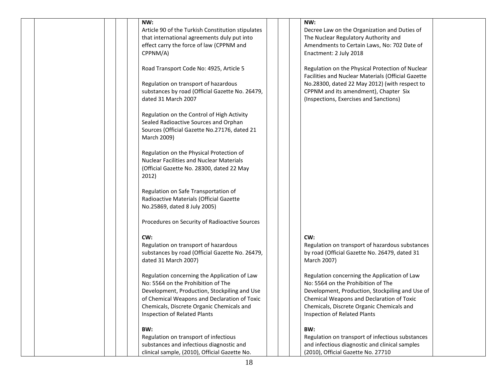|  | NW:<br>Article 90 of the Turkish Constitution stipulates<br>that international agreements duly put into<br>effect carry the force of law (CPPNM and<br>CPPNM/A)                                                                                                 | NW:<br>Decree Law on the Organization and Duties of<br>The Nuclear Regulatory Authority and<br>Amendments to Certain Laws, No: 702 Date of<br>Enactment: 2 July 2018                                                                                            |  |
|--|-----------------------------------------------------------------------------------------------------------------------------------------------------------------------------------------------------------------------------------------------------------------|-----------------------------------------------------------------------------------------------------------------------------------------------------------------------------------------------------------------------------------------------------------------|--|
|  | Road Transport Code No: 4925, Article 5<br>Regulation on transport of hazardous<br>substances by road (Official Gazette No. 26479,<br>dated 31 March 2007                                                                                                       | Regulation on the Physical Protection of Nuclear<br>Facilities and Nuclear Materials (Official Gazette<br>No.28300, dated 22 May 2012) (with respect to<br>CPPNM and its amendment), Chapter Six<br>(Inspections, Exercises and Sanctions)                      |  |
|  | Regulation on the Control of High Activity<br>Sealed Radioactive Sources and Orphan<br>Sources (Official Gazette No.27176, dated 21<br>March 2009)                                                                                                              |                                                                                                                                                                                                                                                                 |  |
|  | Regulation on the Physical Protection of<br>Nuclear Facilities and Nuclear Materials<br>(Official Gazette No. 28300, dated 22 May<br>2012)                                                                                                                      |                                                                                                                                                                                                                                                                 |  |
|  | Regulation on Safe Transportation of<br>Radioactive Materials (Official Gazette<br>No.25869, dated 8 July 2005)                                                                                                                                                 |                                                                                                                                                                                                                                                                 |  |
|  | Procedures on Security of Radioactive Sources<br>CW:<br>Regulation on transport of hazardous<br>substances by road (Official Gazette No. 26479,<br>dated 31 March 2007)                                                                                         | CW:<br>Regulation on transport of hazardous substances<br>by road (Official Gazette No. 26479, dated 31<br>March 2007)                                                                                                                                          |  |
|  | Regulation concerning the Application of Law<br>No: 5564 on the Prohibition of The<br>Development, Production, Stockpiling and Use<br>of Chemical Weapons and Declaration of Toxic<br>Chemicals, Discrete Organic Chemicals and<br>Inspection of Related Plants | Regulation concerning the Application of Law<br>No: 5564 on the Prohibition of The<br>Development, Production, Stockpiling and Use of<br>Chemical Weapons and Declaration of Toxic<br>Chemicals, Discrete Organic Chemicals and<br>Inspection of Related Plants |  |
|  | BW:<br>Regulation on transport of infectious<br>substances and infectious diagnostic and<br>clinical sample, (2010), Official Gazette No.                                                                                                                       | BW:<br>Regulation on transport of infectious substances<br>and infectious diagnostic and clinical samples<br>(2010), Official Gazette No. 27710                                                                                                                 |  |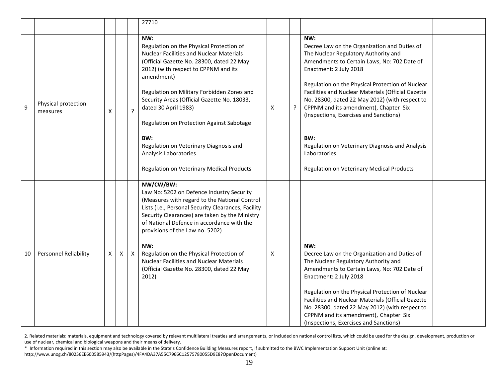|    |                                 |   |   |              | 27710                                                                                                                                                                                                                                                                                                                                                                                                                                                                                          |   |   |                                                                                                                                                                                                                                                                                                                                                                                                                                                                                                                                            |  |
|----|---------------------------------|---|---|--------------|------------------------------------------------------------------------------------------------------------------------------------------------------------------------------------------------------------------------------------------------------------------------------------------------------------------------------------------------------------------------------------------------------------------------------------------------------------------------------------------------|---|---|--------------------------------------------------------------------------------------------------------------------------------------------------------------------------------------------------------------------------------------------------------------------------------------------------------------------------------------------------------------------------------------------------------------------------------------------------------------------------------------------------------------------------------------------|--|
| 9  | Physical protection<br>measures | X |   | $\tilde{.}$  | NW:<br>Regulation on the Physical Protection of<br><b>Nuclear Facilities and Nuclear Materials</b><br>(Official Gazette No. 28300, dated 22 May<br>2012) (with respect to CPPNM and its<br>amendment)<br>Regulation on Military Forbidden Zones and<br>Security Areas (Official Gazette No. 18033,<br>dated 30 April 1983)<br>Regulation on Protection Against Sabotage<br>BW:<br>Regulation on Veterinary Diagnosis and<br>Analysis Laboratories<br>Regulation on Veterinary Medical Products | X | ŗ | NW:<br>Decree Law on the Organization and Duties of<br>The Nuclear Regulatory Authority and<br>Amendments to Certain Laws, No: 702 Date of<br>Enactment: 2 July 2018<br>Regulation on the Physical Protection of Nuclear<br>Facilities and Nuclear Materials (Official Gazette<br>No. 28300, dated 22 May 2012) (with respect to<br>CPPNM and its amendment), Chapter Six<br>(Inspections, Exercises and Sanctions)<br>BW:<br>Regulation on Veterinary Diagnosis and Analysis<br>Laboratories<br>Regulation on Veterinary Medical Products |  |
| 10 | <b>Personnel Reliability</b>    | X | X | $\mathsf{X}$ | NW/CW/BW:<br>Law No: 5202 on Defence Industry Security<br>(Measures with regard to the National Control<br>Lists (i.e., Personal Security Clearances, Facility<br>Security Clearances) are taken by the Ministry<br>of National Defence in accordance with the<br>provisions of the Law no. 5202)<br>NW:<br>Regulation on the Physical Protection of<br><b>Nuclear Facilities and Nuclear Materials</b><br>(Official Gazette No. 28300, dated 22 May<br>2012)                                  | X |   | NW:<br>Decree Law on the Organization and Duties of<br>The Nuclear Regulatory Authority and<br>Amendments to Certain Laws, No: 702 Date of<br>Enactment: 2 July 2018<br>Regulation on the Physical Protection of Nuclear<br>Facilities and Nuclear Materials (Official Gazette<br>No. 28300, dated 22 May 2012) (with respect to<br>CPPNM and its amendment), Chapter Six<br>(Inspections, Exercises and Sanctions)                                                                                                                        |  |

2. Related materials: materials, equipment and technology covered by relevant multilateral treaties and arrangements, or included on national control lists, which could be used for the design, development, production or use of nuclear, chemical and biological weapons and their means of delivery.

\* Information required in this section may also be available in the State's Confidence Building Measures report, if submitted to the BWC Implementation Support Unit (online at: [http://www.unog.ch/80256EE600585943/\(httpPages\)/4FA4DA37A55C7966C12575780055D9E8?OpenDocument\)](http://www.unog.ch/80256EE600585943/(httpPages)/4FA4DA37A55C7966C12575780055D9E8?OpenDocument)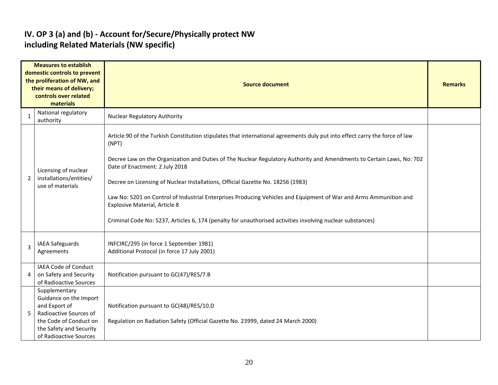#### **IV. OP 3 (a) and (b) - Account for/Secure/Physically protect NW including Related Materials (NW specific)**

|   | <b>Measures to establish</b><br>domestic controls to prevent<br>the proliferation of NW, and<br>their means of delivery;<br>controls over related<br>materials | <b>Source document</b>                                                                                                                                                                                                                                        |  |  |  |  |  |  |  |
|---|----------------------------------------------------------------------------------------------------------------------------------------------------------------|---------------------------------------------------------------------------------------------------------------------------------------------------------------------------------------------------------------------------------------------------------------|--|--|--|--|--|--|--|
| 1 | National regulatory<br>authority                                                                                                                               | <b>Nuclear Regulatory Authority</b>                                                                                                                                                                                                                           |  |  |  |  |  |  |  |
|   |                                                                                                                                                                | Article 90 of the Turkish Constitution stipulates that international agreements duly put into effect carry the force of law<br>(NPT)<br>Decree Law on the Organization and Duties of The Nuclear Regulatory Authority and Amendments to Certain Laws, No: 702 |  |  |  |  |  |  |  |
|   | Licensing of nuclear                                                                                                                                           | Date of Enactment: 2 July 2018                                                                                                                                                                                                                                |  |  |  |  |  |  |  |
| 2 | installations/entities/<br>use of materials                                                                                                                    | Decree on Licensing of Nuclear Installations, Official Gazette No. 18256 (1983)                                                                                                                                                                               |  |  |  |  |  |  |  |
|   |                                                                                                                                                                | Law No: 5201 on Control of Industrial Enterprises Producing Vehicles and Equipment of War and Arms Ammunition and<br><b>Explosive Material, Article 8</b>                                                                                                     |  |  |  |  |  |  |  |
|   |                                                                                                                                                                | Criminal Code No: 5237, Articles 6, 174 (penalty for unauthorised activities involving nuclear substances)                                                                                                                                                    |  |  |  |  |  |  |  |
| 3 | <b>IAEA Safeguards</b><br>Agreements                                                                                                                           | INFCIRC/295 (in force 1 September 1981)<br>Additional Protocol (in force 17 July 2001)                                                                                                                                                                        |  |  |  |  |  |  |  |
| 4 | IAEA Code of Conduct<br>on Safety and Security<br>of Radioactive Sources                                                                                       | Notification pursuant to GC(47)/RES/7.B                                                                                                                                                                                                                       |  |  |  |  |  |  |  |
|   | Supplementary<br>Guidance on the Import<br>and Export of                                                                                                       | Notification pursuant to GC(48)/RES/10.D                                                                                                                                                                                                                      |  |  |  |  |  |  |  |
| 5 | Radioactive Sources of<br>the Code of Conduct on<br>the Safety and Security<br>of Radioactive Sources                                                          | Regulation on Radiation Safety (Official Gazette No. 23999, dated 24 March 2000)                                                                                                                                                                              |  |  |  |  |  |  |  |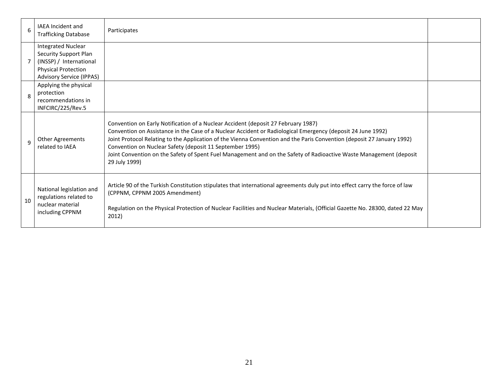| 6  | <b>IAEA</b> Incident and<br><b>Trafficking Database</b>                                                                                        | Participates                                                                                                                                                                                                                                                                                                                                                                                                                                                                                                                  |  |
|----|------------------------------------------------------------------------------------------------------------------------------------------------|-------------------------------------------------------------------------------------------------------------------------------------------------------------------------------------------------------------------------------------------------------------------------------------------------------------------------------------------------------------------------------------------------------------------------------------------------------------------------------------------------------------------------------|--|
|    | <b>Integrated Nuclear</b><br>Security Support Plan<br>(INSSP) / International<br><b>Physical Protection</b><br><b>Advisory Service (IPPAS)</b> |                                                                                                                                                                                                                                                                                                                                                                                                                                                                                                                               |  |
| 8  | Applying the physical<br>protection<br>recommendations in<br>INFCIRC/225/Rev.5                                                                 |                                                                                                                                                                                                                                                                                                                                                                                                                                                                                                                               |  |
| 9  | Other Agreements<br>related to IAEA                                                                                                            | Convention on Early Notification of a Nuclear Accident (deposit 27 February 1987)<br>Convention on Assistance in the Case of a Nuclear Accident or Radiological Emergency (deposit 24 June 1992)<br>Joint Protocol Relating to the Application of the Vienna Convention and the Paris Convention (deposit 27 January 1992)<br>Convention on Nuclear Safety (deposit 11 September 1995)<br>Joint Convention on the Safety of Spent Fuel Management and on the Safety of Radioactive Waste Management (deposit<br>29 July 1999) |  |
| 10 | National legislation and<br>regulations related to<br>nuclear material<br>including CPPNM                                                      | Article 90 of the Turkish Constitution stipulates that international agreements duly put into effect carry the force of law<br>(CPPNM, CPPNM 2005 Amendment)<br>Regulation on the Physical Protection of Nuclear Facilities and Nuclear Materials, (Official Gazette No. 28300, dated 22 May<br>2012)                                                                                                                                                                                                                         |  |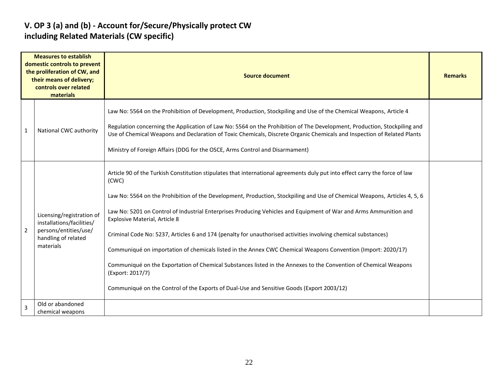#### **V. OP 3 (a) and (b) - Account for/Secure/Physically protect CW including Related Materials (CW specific)**

|                | <b>Measures to establish</b><br>domestic controls to prevent<br>the proliferation of CW, and<br>their means of delivery;<br>controls over related<br>materials | <b>Source document</b>                                                                                                                                                                                                                                                                                                                                                                                                                                                                                                                                                                                                                                                                                                                                                                                                                                                                         |  |  |  |  |  |  |
|----------------|----------------------------------------------------------------------------------------------------------------------------------------------------------------|------------------------------------------------------------------------------------------------------------------------------------------------------------------------------------------------------------------------------------------------------------------------------------------------------------------------------------------------------------------------------------------------------------------------------------------------------------------------------------------------------------------------------------------------------------------------------------------------------------------------------------------------------------------------------------------------------------------------------------------------------------------------------------------------------------------------------------------------------------------------------------------------|--|--|--|--|--|--|
| $\mathbf{1}$   | National CWC authority                                                                                                                                         | Law No: 5564 on the Prohibition of Development, Production, Stockpiling and Use of the Chemical Weapons, Article 4<br>Regulation concerning the Application of Law No: 5564 on the Prohibition of The Development, Production, Stockpiling and<br>Use of Chemical Weapons and Declaration of Toxic Chemicals, Discrete Organic Chemicals and Inspection of Related Plants<br>Ministry of Foreign Affairs (DDG for the OSCE, Arms Control and Disarmament)                                                                                                                                                                                                                                                                                                                                                                                                                                      |  |  |  |  |  |  |
| $\overline{2}$ | Licensing/registration of<br>installations/facilities/<br>persons/entities/use/<br>handling of related<br>materials                                            | Article 90 of the Turkish Constitution stipulates that international agreements duly put into effect carry the force of law<br>(CWC)<br>Law No: 5564 on the Prohibition of the Development, Production, Stockpiling and Use of Chemical Weapons, Articles 4, 5, 6<br>Law No: 5201 on Control of Industrial Enterprises Producing Vehicles and Equipment of War and Arms Ammunition and<br>Explosive Material, Article 8<br>Criminal Code No: 5237, Articles 6 and 174 (penalty for unauthorised activities involving chemical substances)<br>Communiqué on importation of chemicals listed in the Annex CWC Chemical Weapons Convention (Import: 2020/17)<br>Communiqué on the Exportation of Chemical Substances listed in the Annexes to the Convention of Chemical Weapons<br>(Export: 2017/7)<br>Communiqué on the Control of the Exports of Dual-Use and Sensitive Goods (Export 2003/12) |  |  |  |  |  |  |
| $\overline{3}$ | Old or abandoned<br>chemical weapons                                                                                                                           |                                                                                                                                                                                                                                                                                                                                                                                                                                                                                                                                                                                                                                                                                                                                                                                                                                                                                                |  |  |  |  |  |  |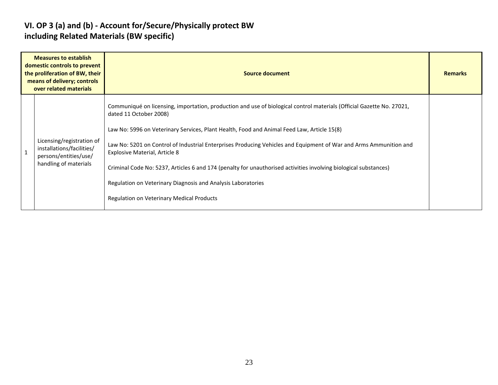#### **VI. OP 3 (a) and (b) - Account for/Secure/Physically protect BW including Related Materials (BW specific)**

| <b>Measures to establish</b><br>domestic controls to prevent<br>the proliferation of BW, their<br>means of delivery; controls<br>over related materials |                                                                                                          | Source document                                                                                                                                                                                                                                                                                                                                                                                                                                                                                                                                                                                                                                    | <b>Remarks</b> |
|---------------------------------------------------------------------------------------------------------------------------------------------------------|----------------------------------------------------------------------------------------------------------|----------------------------------------------------------------------------------------------------------------------------------------------------------------------------------------------------------------------------------------------------------------------------------------------------------------------------------------------------------------------------------------------------------------------------------------------------------------------------------------------------------------------------------------------------------------------------------------------------------------------------------------------------|----------------|
|                                                                                                                                                         | Licensing/registration of<br>installations/facilities/<br>persons/entities/use/<br>handling of materials | Communiqué on licensing, importation, production and use of biological control materials (Official Gazette No. 27021,<br>dated 11 October 2008)<br>Law No: 5996 on Veterinary Services, Plant Health, Food and Animal Feed Law, Article 15(8)<br>Law No: 5201 on Control of Industrial Enterprises Producing Vehicles and Equipment of War and Arms Ammunition and<br><b>Explosive Material, Article 8</b><br>Criminal Code No: 5237, Articles 6 and 174 (penalty for unauthorised activities involving biological substances)<br>Regulation on Veterinary Diagnosis and Analysis Laboratories<br><b>Regulation on Veterinary Medical Products</b> |                |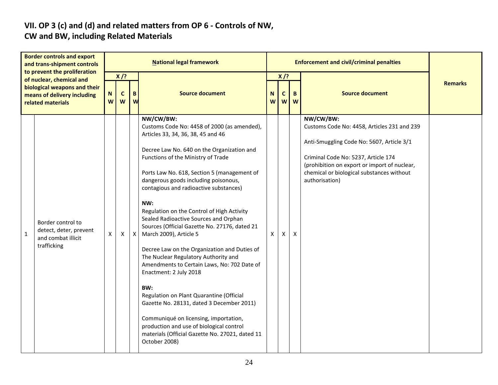# **VII. OP 3 (c) and (d) and related matters from OP 6 - Controls of NW,**

### **CW and BW, including Related Materials**

| <b>Border controls and export</b><br>and trans-shipment controls<br>to prevent the proliferation             |                                                                                  | <b>National legal framework</b> |                            |              |                                                                                                                                                                                                                                                                                                                                                                                                                                                                                                                                                                                                                                                                                                                                                                                                                                                                                                                        |              |                            | <b>Enforcement and civil/criminal penalties</b> |                                                                                                                                                                                                                                                             |                |  |  |
|--------------------------------------------------------------------------------------------------------------|----------------------------------------------------------------------------------|---------------------------------|----------------------------|--------------|------------------------------------------------------------------------------------------------------------------------------------------------------------------------------------------------------------------------------------------------------------------------------------------------------------------------------------------------------------------------------------------------------------------------------------------------------------------------------------------------------------------------------------------------------------------------------------------------------------------------------------------------------------------------------------------------------------------------------------------------------------------------------------------------------------------------------------------------------------------------------------------------------------------------|--------------|----------------------------|-------------------------------------------------|-------------------------------------------------------------------------------------------------------------------------------------------------------------------------------------------------------------------------------------------------------------|----------------|--|--|
| of nuclear, chemical and<br>biological weapons and their<br>means of delivery including<br>related materials |                                                                                  |                                 | $X$ /?<br>$\mathbf c$<br>W | B<br>W       | <b>Source document</b>                                                                                                                                                                                                                                                                                                                                                                                                                                                                                                                                                                                                                                                                                                                                                                                                                                                                                                 | N<br>W       | $X$ /?<br>$\mathbf c$<br>W | B.<br>W                                         | <b>Source document</b>                                                                                                                                                                                                                                      | <b>Remarks</b> |  |  |
| $\mathbf{1}$                                                                                                 | Border control to<br>detect, deter, prevent<br>and combat illicit<br>trafficking | X                               | X                          | $\mathsf{X}$ | NW/CW/BW:<br>Customs Code No: 4458 of 2000 (as amended),<br>Articles 33, 34, 36, 38, 45 and 46<br>Decree Law No. 640 on the Organization and<br>Functions of the Ministry of Trade<br>Ports Law No. 618, Section 5 (management of<br>dangerous goods including poisonous,<br>contagious and radioactive substances)<br>NW:<br>Regulation on the Control of High Activity<br>Sealed Radioactive Sources and Orphan<br>Sources (Official Gazette No. 27176, dated 21<br>March 2009), Article 5<br>Decree Law on the Organization and Duties of<br>The Nuclear Regulatory Authority and<br>Amendments to Certain Laws, No: 702 Date of<br>Enactment: 2 July 2018<br>BW:<br>Regulation on Plant Quarantine (Official<br>Gazette No. 28131, dated 3 December 2011)<br>Communiqué on licensing, importation,<br>production and use of biological control<br>materials (Official Gazette No. 27021, dated 11<br>October 2008) | $\mathsf{X}$ | $\mathsf{x}$               | $\boldsymbol{\mathsf{X}}$                       | NW/CW/BW:<br>Customs Code No: 4458, Articles 231 and 239<br>Anti-Smuggling Code No: 5607, Article 3/1<br>Criminal Code No: 5237, Article 174<br>(prohibition on export or import of nuclear,<br>chemical or biological substances without<br>authorisation) |                |  |  |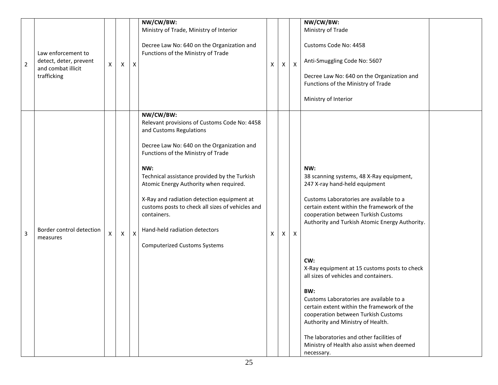| $\overline{2}$ | Law enforcement to<br>detect, deter, prevent<br>and combat illicit<br>trafficking | X | $\mathsf{X}$ | X | NW/CW/BW:<br>Ministry of Trade, Ministry of Interior<br>Decree Law No: 640 on the Organization and<br>Functions of the Ministry of Trade                                                                                                                                                                                                                                                                                                                           | Χ | Χ | $\mathsf{X}$ | NW/CW/BW:<br>Ministry of Trade<br>Customs Code No: 4458<br>Anti-Smuggling Code No: 5607<br>Decree Law No: 640 on the Organization and<br>Functions of the Ministry of Trade<br>Ministry of Interior                                                                                                                                                                                                                                                                                                                                                                                                                                                    |  |
|----------------|-----------------------------------------------------------------------------------|---|--------------|---|--------------------------------------------------------------------------------------------------------------------------------------------------------------------------------------------------------------------------------------------------------------------------------------------------------------------------------------------------------------------------------------------------------------------------------------------------------------------|---|---|--------------|--------------------------------------------------------------------------------------------------------------------------------------------------------------------------------------------------------------------------------------------------------------------------------------------------------------------------------------------------------------------------------------------------------------------------------------------------------------------------------------------------------------------------------------------------------------------------------------------------------------------------------------------------------|--|
| $\overline{3}$ | Border control detection<br>measures                                              | X | $\mathsf{X}$ | X | NW/CW/BW:<br>Relevant provisions of Customs Code No: 4458<br>and Customs Regulations<br>Decree Law No: 640 on the Organization and<br>Functions of the Ministry of Trade<br>NW:<br>Technical assistance provided by the Turkish<br>Atomic Energy Authority when required.<br>X-Ray and radiation detection equipment at<br>customs posts to check all sizes of vehicles and<br>containers.<br>Hand-held radiation detectors<br><b>Computerized Customs Systems</b> | X | X | X            | NW:<br>38 scanning systems, 48 X-Ray equipment,<br>247 X-ray hand-held equipment<br>Customs Laboratories are available to a<br>certain extent within the framework of the<br>cooperation between Turkish Customs<br>Authority and Turkish Atomic Energy Authority.<br>CW:<br>X-Ray equipment at 15 customs posts to check<br>all sizes of vehicles and containers.<br>BW:<br>Customs Laboratories are available to a<br>certain extent within the framework of the<br>cooperation between Turkish Customs<br>Authority and Ministry of Health.<br>The laboratories and other facilities of<br>Ministry of Health also assist when deemed<br>necessary. |  |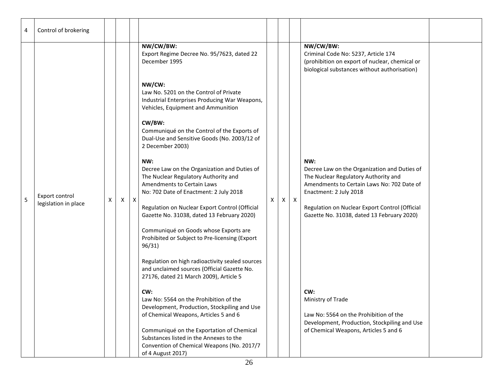| 4 | Control of brokering                   |   |   |                  |                                                                                                                                                                                                                                                                                                                                                                                                                                                                                                                                                                                                                                                                                                                                                                                                                                                                                                                                        |   |   |              |                                                                                                                                                                                                                                                                                                 |  |
|---|----------------------------------------|---|---|------------------|----------------------------------------------------------------------------------------------------------------------------------------------------------------------------------------------------------------------------------------------------------------------------------------------------------------------------------------------------------------------------------------------------------------------------------------------------------------------------------------------------------------------------------------------------------------------------------------------------------------------------------------------------------------------------------------------------------------------------------------------------------------------------------------------------------------------------------------------------------------------------------------------------------------------------------------|---|---|--------------|-------------------------------------------------------------------------------------------------------------------------------------------------------------------------------------------------------------------------------------------------------------------------------------------------|--|
|   |                                        |   |   |                  | NW/CW/BW:<br>Export Regime Decree No. 95/7623, dated 22<br>December 1995                                                                                                                                                                                                                                                                                                                                                                                                                                                                                                                                                                                                                                                                                                                                                                                                                                                               |   |   |              | NW/CW/BW:<br>Criminal Code No: 5237, Article 174<br>(prohibition on export of nuclear, chemical or<br>biological substances without authorisation)                                                                                                                                              |  |
| 5 | Export control<br>legislation in place | X | X | $\boldsymbol{X}$ | NW/CW:<br>Law No. 5201 on the Control of Private<br>Industrial Enterprises Producing War Weapons,<br>Vehicles, Equipment and Ammunition<br>CW/BW:<br>Communiqué on the Control of the Exports of<br>Dual-Use and Sensitive Goods (No. 2003/12 of<br>2 December 2003)<br>NW:<br>Decree Law on the Organization and Duties of<br>The Nuclear Regulatory Authority and<br>Amendments to Certain Laws<br>No: 702 Date of Enactment: 2 July 2018<br>Regulation on Nuclear Export Control (Official<br>Gazette No. 31038, dated 13 February 2020)<br>Communiqué on Goods whose Exports are<br>Prohibited or Subject to Pre-licensing (Export<br>96/31)<br>Regulation on high radioactivity sealed sources<br>and unclaimed sources (Official Gazette No.<br>27176, dated 21 March 2009), Article 5<br>CW:<br>Law No: 5564 on the Prohibition of the<br>Development, Production, Stockpiling and Use<br>of Chemical Weapons, Articles 5 and 6 | X | X | $\mathsf{X}$ | NW:<br>Decree Law on the Organization and Duties of<br>The Nuclear Regulatory Authority and<br>Amendments to Certain Laws No: 702 Date of<br>Enactment: 2 July 2018<br>Regulation on Nuclear Export Control (Official<br>Gazette No. 31038, dated 13 February 2020)<br>CW:<br>Ministry of Trade |  |
|   |                                        |   |   |                  | Communiqué on the Exportation of Chemical<br>Substances listed in the Annexes to the<br>Convention of Chemical Weapons (No. 2017/7<br>of 4 August 2017)                                                                                                                                                                                                                                                                                                                                                                                                                                                                                                                                                                                                                                                                                                                                                                                |   |   |              | Law No: 5564 on the Prohibition of the<br>Development, Production, Stockpiling and Use<br>of Chemical Weapons, Articles 5 and 6                                                                                                                                                                 |  |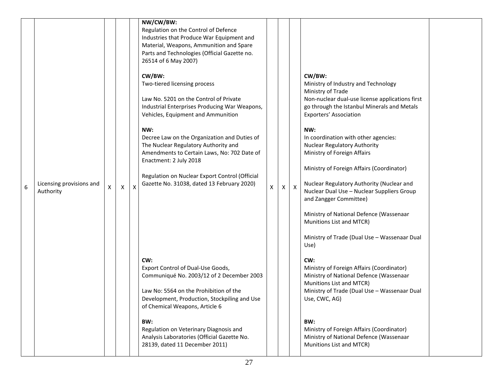|   |                                       |                    |                    |   | NW/CW/BW:<br>Regulation on the Control of Defence<br>Industries that Produce War Equipment and<br>Material, Weapons, Ammunition and Spare<br>Parts and Technologies (Official Gazette no.<br>26514 of 6 May 2007)                                                                                                                                                                                                                               |   |   |                  |                                                                                                                                                                                                                                                                                                                                                                                                                                                                                                                                                                                                                      |  |
|---|---------------------------------------|--------------------|--------------------|---|-------------------------------------------------------------------------------------------------------------------------------------------------------------------------------------------------------------------------------------------------------------------------------------------------------------------------------------------------------------------------------------------------------------------------------------------------|---|---|------------------|----------------------------------------------------------------------------------------------------------------------------------------------------------------------------------------------------------------------------------------------------------------------------------------------------------------------------------------------------------------------------------------------------------------------------------------------------------------------------------------------------------------------------------------------------------------------------------------------------------------------|--|
| 6 | Licensing provisions and<br>Authority | $\pmb{\mathsf{X}}$ | $\pmb{\mathsf{X}}$ | X | CW/BW:<br>Two-tiered licensing process<br>Law No. 5201 on the Control of Private<br>Industrial Enterprises Producing War Weapons,<br>Vehicles, Equipment and Ammunition<br>NW:<br>Decree Law on the Organization and Duties of<br>The Nuclear Regulatory Authority and<br>Amendments to Certain Laws, No: 702 Date of<br>Enactment: 2 July 2018<br>Regulation on Nuclear Export Control (Official<br>Gazette No. 31038, dated 13 February 2020) | X | X | $\boldsymbol{X}$ | CW/BW:<br>Ministry of Industry and Technology<br>Ministry of Trade<br>Non-nuclear dual-use license applications first<br>go through the Istanbul Minerals and Metals<br>Exporters' Association<br>NW:<br>In coordination with other agencies:<br><b>Nuclear Regulatory Authority</b><br>Ministry of Foreign Affairs<br>Ministry of Foreign Affairs (Coordinator)<br>Nuclear Regulatory Authority (Nuclear and<br>Nuclear Dual Use - Nuclear Suppliers Group<br>and Zangger Committee)<br>Ministry of National Defence (Wassenaar<br>Munitions List and MTCR)<br>Ministry of Trade (Dual Use - Wassenaar Dual<br>Use) |  |
|   |                                       |                    |                    |   | CW:<br>Export Control of Dual-Use Goods,<br>Communiqué No. 2003/12 of 2 December 2003<br>Law No: 5564 on the Prohibition of the<br>Development, Production, Stockpiling and Use<br>of Chemical Weapons, Article 6<br>BW:<br>Regulation on Veterinary Diagnosis and<br>Analysis Laboratories (Official Gazette No.<br>28139, dated 11 December 2011)                                                                                             |   |   |                  | CW:<br>Ministry of Foreign Affairs (Coordinator)<br>Ministry of National Defence (Wassenaar<br>Munitions List and MTCR)<br>Ministry of Trade (Dual Use - Wassenaar Dual<br>Use, CWC, AG)<br>BW:<br>Ministry of Foreign Affairs (Coordinator)<br>Ministry of National Defence (Wassenaar<br>Munitions List and MTCR)                                                                                                                                                                                                                                                                                                  |  |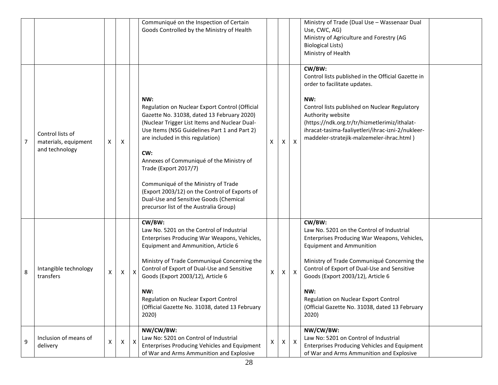|   |                                                            |   |              |   | Communiqué on the Inspection of Certain<br>Goods Controlled by the Ministry of Health                                                                                                                                                                                                                                                                                                                                                                                                            |   |   |                           | Ministry of Trade (Dual Use - Wassenaar Dual<br>Use, CWC, AG)<br>Ministry of Agriculture and Forestry (AG<br><b>Biological Lists)</b><br>Ministry of Health                                                                                                                                                                                                                         |  |
|---|------------------------------------------------------------|---|--------------|---|--------------------------------------------------------------------------------------------------------------------------------------------------------------------------------------------------------------------------------------------------------------------------------------------------------------------------------------------------------------------------------------------------------------------------------------------------------------------------------------------------|---|---|---------------------------|-------------------------------------------------------------------------------------------------------------------------------------------------------------------------------------------------------------------------------------------------------------------------------------------------------------------------------------------------------------------------------------|--|
| 7 | Control lists of<br>materials, equipment<br>and technology | Χ | X            |   | NW:<br>Regulation on Nuclear Export Control (Official<br>Gazette No. 31038, dated 13 February 2020)<br>(Nuclear Trigger List Items and Nuclear Dual-<br>Use Items (NSG Guidelines Part 1 and Part 2)<br>are included in this regulation)<br>CW:<br>Annexes of Communiqué of the Ministry of<br>Trade (Export 2017/7)<br>Communiqué of the Ministry of Trade<br>(Export 2003/12) on the Control of Exports of<br>Dual-Use and Sensitive Goods (Chemical<br>precursor list of the Australia Group) | X | X | $\boldsymbol{\mathsf{X}}$ | CW/BW:<br>Control lists published in the Official Gazette in<br>order to facilitate updates.<br>NW:<br>Control lists published on Nuclear Regulatory<br>Authority website<br>(https://ndk.org.tr/tr/hizmetlerimiz/ithalat-<br>ihracat-tasima-faaliyetleri/ihrac-izni-2/nukleer-<br>maddeler-stratejik-malzemeler-ihrac.html)                                                        |  |
| 8 | Intangible technology<br>transfers                         | X | $\mathsf{X}$ | X | CW/BW:<br>Law No. 5201 on the Control of Industrial<br>Enterprises Producing War Weapons, Vehicles,<br>Equipment and Ammunition, Article 6<br>Ministry of Trade Communiqué Concerning the<br>Control of Export of Dual-Use and Sensitive<br>Goods (Export 2003/12), Article 6<br>NW:<br>Regulation on Nuclear Export Control<br>(Official Gazette No. 31038, dated 13 February<br>2020)                                                                                                          | Χ | X | $\mathsf{X}$              | CW/BW:<br>Law No. 5201 on the Control of Industrial<br>Enterprises Producing War Weapons, Vehicles,<br><b>Equipment and Ammunition</b><br>Ministry of Trade Communiqué Concerning the<br>Control of Export of Dual-Use and Sensitive<br>Goods (Export 2003/12), Article 6<br>NW:<br>Regulation on Nuclear Export Control<br>(Official Gazette No. 31038, dated 13 February<br>2020) |  |
| 9 | Inclusion of means of<br>delivery                          | X | Χ            | X | NW/CW/BW:<br>Law No: 5201 on Control of Industrial<br>Enterprises Producing Vehicles and Equipment<br>of War and Arms Ammunition and Explosive                                                                                                                                                                                                                                                                                                                                                   | X | Χ | $\boldsymbol{\mathsf{X}}$ | NW/CW/BW:<br>Law No: 5201 on Control of Industrial<br>Enterprises Producing Vehicles and Equipment<br>of War and Arms Ammunition and Explosive                                                                                                                                                                                                                                      |  |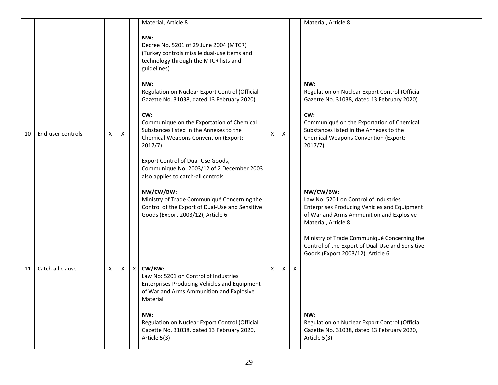|    |                   |              |          | Material, Article 8                                                                                                                                                                                                                                          |   |          |   | Material, Article 8                                                                                                                                                                                                                                          |  |
|----|-------------------|--------------|----------|--------------------------------------------------------------------------------------------------------------------------------------------------------------------------------------------------------------------------------------------------------------|---|----------|---|--------------------------------------------------------------------------------------------------------------------------------------------------------------------------------------------------------------------------------------------------------------|--|
|    |                   |              |          | NW:<br>Decree No. 5201 of 29 June 2004 (MTCR)<br>(Turkey controls missile dual-use items and<br>technology through the MTCR lists and<br>guidelines)                                                                                                         |   |          |   |                                                                                                                                                                                                                                                              |  |
| 10 | End-user controls | X            | Χ        | NW:<br>Regulation on Nuclear Export Control (Official<br>Gazette No. 31038, dated 13 February 2020)<br>CW:<br>Communiqué on the Exportation of Chemical<br>Substances listed in the Annexes to the<br><b>Chemical Weapons Convention (Export:</b><br>2017/7) | X | X        |   | NW:<br>Regulation on Nuclear Export Control (Official<br>Gazette No. 31038, dated 13 February 2020)<br>CW:<br>Communiqué on the Exportation of Chemical<br>Substances listed in the Annexes to the<br><b>Chemical Weapons Convention (Export:</b><br>2017/7) |  |
|    |                   |              |          | Export Control of Dual-Use Goods,<br>Communiqué No. 2003/12 of 2 December 2003<br>also applies to catch-all controls                                                                                                                                         |   |          |   |                                                                                                                                                                                                                                                              |  |
|    |                   |              |          | NW/CW/BW:<br>Ministry of Trade Communiqué Concerning the<br>Control of the Export of Dual-Use and Sensitive<br>Goods (Export 2003/12), Article 6                                                                                                             |   |          |   | NW/CW/BW:<br>Law No: 5201 on Control of Industries<br><b>Enterprises Producing Vehicles and Equipment</b><br>of War and Arms Ammunition and Explosive<br>Material, Article 8                                                                                 |  |
|    |                   |              |          |                                                                                                                                                                                                                                                              |   |          |   | Ministry of Trade Communiqué Concerning the<br>Control of the Export of Dual-Use and Sensitive<br>Goods (Export 2003/12), Article 6                                                                                                                          |  |
| 11 | Catch all clause  | $\mathsf{X}$ | $\times$ | $X$ CW/BW:<br>Law No: 5201 on Control of Industries<br>Enterprises Producing Vehicles and Equipment<br>of War and Arms Ammunition and Explosive<br>Material                                                                                                  | Χ | $\times$ | Χ |                                                                                                                                                                                                                                                              |  |
|    |                   |              |          | NW:<br>Regulation on Nuclear Export Control (Official<br>Gazette No. 31038, dated 13 February 2020,<br>Article 5(3)                                                                                                                                          |   |          |   | NW:<br>Regulation on Nuclear Export Control (Official<br>Gazette No. 31038, dated 13 February 2020,<br>Article 5(3)                                                                                                                                          |  |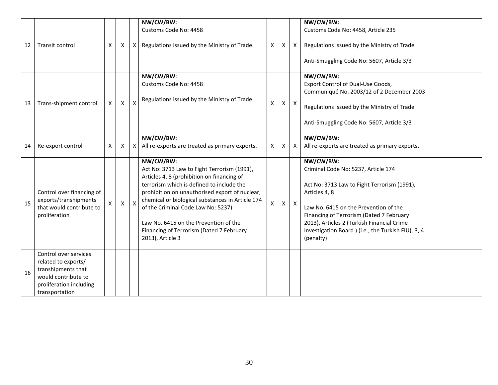| 12 | Transit control                                                                                                                        | X | X | Χ                       | NW/CW/BW:<br>Customs Code No: 4458<br>Regulations issued by the Ministry of Trade                                                                                                                                                                                                                                                                                                                        | X            | X            | $\mathsf{X}$ | NW/CW/BW:<br>Customs Code No: 4458, Article 235<br>Regulations issued by the Ministry of Trade<br>Anti-Smuggling Code No: 5607, Article 3/3                                                                                                                                                                             |  |
|----|----------------------------------------------------------------------------------------------------------------------------------------|---|---|-------------------------|----------------------------------------------------------------------------------------------------------------------------------------------------------------------------------------------------------------------------------------------------------------------------------------------------------------------------------------------------------------------------------------------------------|--------------|--------------|--------------|-------------------------------------------------------------------------------------------------------------------------------------------------------------------------------------------------------------------------------------------------------------------------------------------------------------------------|--|
| 13 | Trans-shipment control                                                                                                                 | X | X | $\mathsf{\overline{X}}$ | NW/CW/BW:<br>Customs Code No: 4458<br>Regulations issued by the Ministry of Trade                                                                                                                                                                                                                                                                                                                        | $\mathsf{X}$ | $\mathsf{X}$ | $\mathsf{X}$ | NW/CW/BW:<br>Export Control of Dual-Use Goods,<br>Communiqué No. 2003/12 of 2 December 2003<br>Regulations issued by the Ministry of Trade<br>Anti-Smuggling Code No: 5607, Article 3/3                                                                                                                                 |  |
| 14 | Re-export control                                                                                                                      | X | Χ | X                       | NW/CW/BW:<br>All re-exports are treated as primary exports.                                                                                                                                                                                                                                                                                                                                              | X            | Χ            | X            | NW/CW/BW:<br>All re-exports are treated as primary exports.                                                                                                                                                                                                                                                             |  |
| 15 | Control over financing of<br>exports/transhipments<br>that would contribute to<br>proliferation                                        | X | X | $\mathsf{x}$            | NW/CW/BW:<br>Act No: 3713 Law to Fight Terrorism (1991),<br>Articles 4, 8 (prohibition on financing of<br>terrorism which is defined to include the<br>prohibition on unauthorised export of nuclear,<br>chemical or biological substances in Article 174<br>of the Criminal Code Law No: 5237)<br>Law No. 6415 on the Prevention of the<br>Financing of Terrorism (Dated 7 February<br>2013), Article 3 | X            | $\mathsf{X}$ | $\mathsf{X}$ | NW/CW/BW:<br>Criminal Code No: 5237, Article 174<br>Act No: 3713 Law to Fight Terrorism (1991),<br>Articles 4, 8<br>Law No. 6415 on the Prevention of the<br>Financing of Terrorism (Dated 7 February<br>2013), Articles 2 (Turkish Financial Crime<br>Investigation Board ) (i.e., the Turkish FIU), 3, 4<br>(penalty) |  |
| 16 | Control over services<br>related to exports/<br>transhipments that<br>would contribute to<br>proliferation including<br>transportation |   |   |                         |                                                                                                                                                                                                                                                                                                                                                                                                          |              |              |              |                                                                                                                                                                                                                                                                                                                         |  |